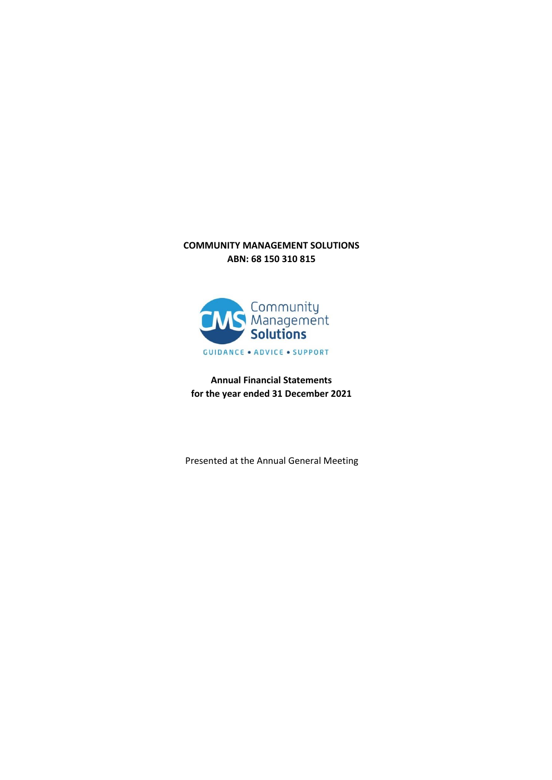### **COMMUNITY MANAGEMENT SOLUTIONS ABN: 68 150 310 815**



**Annual Financial Statements for the year ended 31 December 2021**

Presented at the Annual General Meeting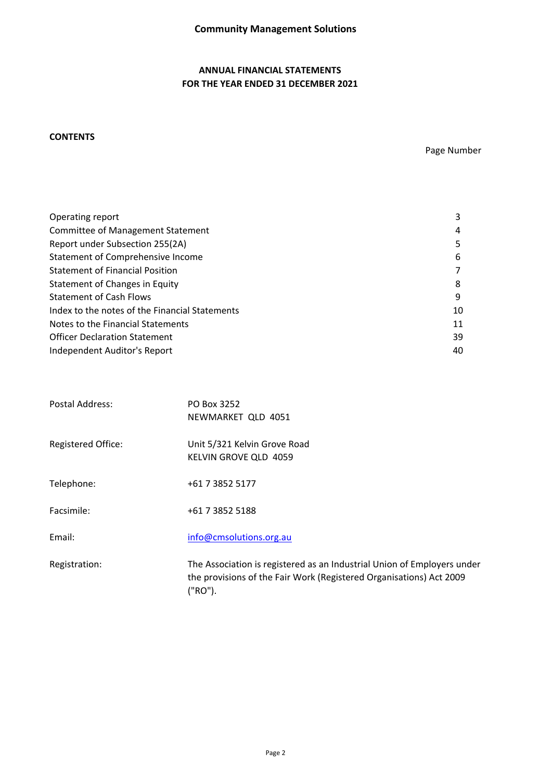### **ANNUAL FINANCIAL STATEMENTS FOR THE YEAR ENDED 31 DECEMBER 2021**

### **CONTENTS**

Page Number

| Operating report                               | 3  |
|------------------------------------------------|----|
| <b>Committee of Management Statement</b>       | 4  |
| Report under Subsection 255(2A)                |    |
| Statement of Comprehensive Income              | 6  |
| <b>Statement of Financial Position</b>         |    |
| Statement of Changes in Equity                 | 8  |
| <b>Statement of Cash Flows</b>                 | q  |
| Index to the notes of the Financial Statements | 10 |
| Notes to the Financial Statements              | 11 |
| <b>Officer Declaration Statement</b>           | 39 |
| Independent Auditor's Report                   | 40 |

| Postal Address:           | PO Box 3252<br>NEWMARKET QLD 4051                                                                                                                         |
|---------------------------|-----------------------------------------------------------------------------------------------------------------------------------------------------------|
| <b>Registered Office:</b> | Unit 5/321 Kelvin Grove Road<br>KELVIN GROVE QLD 4059                                                                                                     |
| Telephone:                | +61 7 3852 5177                                                                                                                                           |
| Facsimile:                | +61 7 3852 5188                                                                                                                                           |
| Email:                    | info@cmsolutions.org.au                                                                                                                                   |
| Registration:             | The Association is registered as an Industrial Union of Employers under<br>the provisions of the Fair Work (Registered Organisations) Act 2009<br>("RO"). |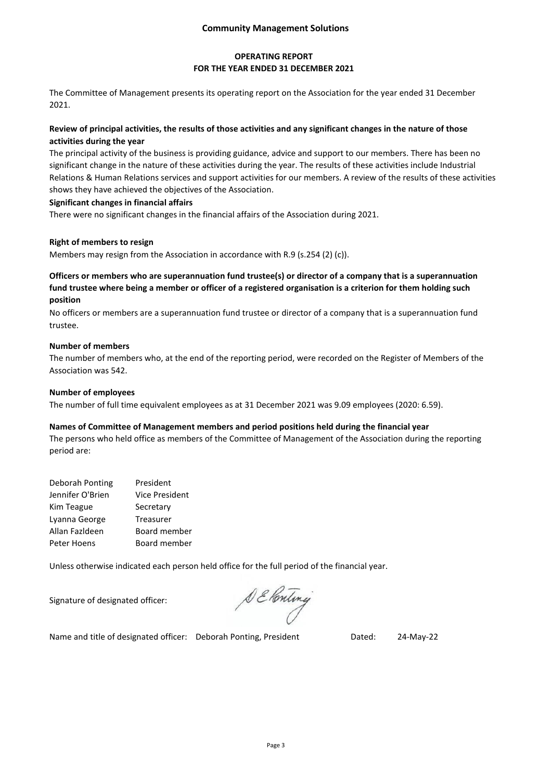### **Community Management Solutions**

### **OPERATING REPORT FOR THE YEAR ENDED 31 DECEMBER 2021**

The Committee of Management presents its operating report on the Association for the year ended 31 December 2021.

### **Review of principal activities, the results of those activities and any significant changes in the nature of those activities during the year**

The principal activity of the business is providing guidance, advice and support to our members. There has been no significant change in the nature of these activities during the year. The results of these activities include Industrial Relations & Human Relations services and support activities for our members. A review of the results of these activities shows they have achieved the objectives of the Association.

#### **Significant changes in financial affairs**

There were no significant changes in the financial affairs of the Association during 2021.

### **Right of members to resign**

Members may resign from the Association in accordance with R.9 (s.254 (2) (c)).

### **Officers or members who are superannuation fund trustee(s) or director of a company that is a superannuation fund trustee where being a member or officer of a registered organisation is a criterion for them holding such position**

No officers or members are a superannuation fund trustee or director of a company that is a superannuation fund trustee.

#### **Number of members**

The number of members who, at the end of the reporting period, were recorded on the Register of Members of the Association was 542.

#### **Number of employees**

The number of full time equivalent employees as at 31 December 2021 was 9.09 employees (2020: 6.59).

#### **Names of Committee of Management members and period positions held during the financial year**

The persons who held office as members of the Committee of Management of the Association during the reporting period are:

| Deborah Ponting  | President             |
|------------------|-----------------------|
| Jennifer O'Brien | <b>Vice President</b> |
| Kim Teague       | Secretary             |
| Lyanna George    | Treasurer             |
| Allan Fazldeen   | Board member          |
| Peter Hoens      | Board member          |

Unless otherwise indicated each person held office for the full period of the financial year.

Signature of designated officer:

DE Ponting

Name and title of designated officer: Deborah Ponting, President Dated: 24-May-22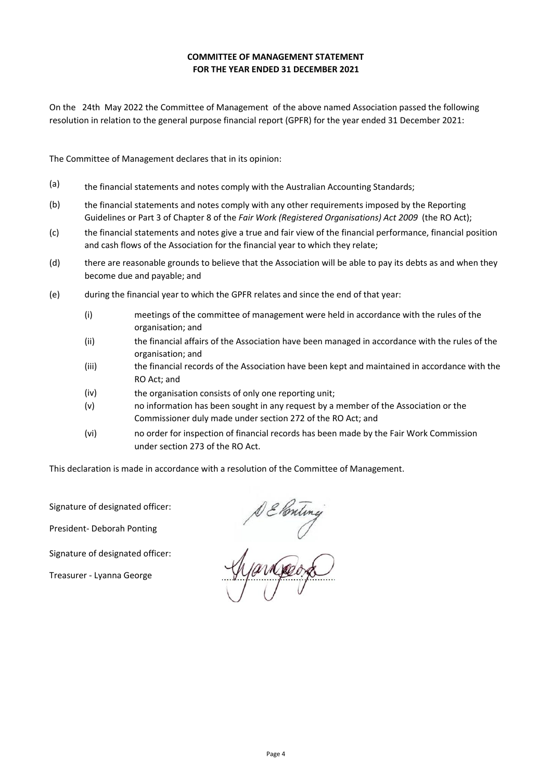### **FOR THE YEAR ENDED 31 DECEMBER 2021 COMMITTEE OF MANAGEMENT STATEMENT**

On the 24th May 2022 the Committee of Management of the above named Association passed the following resolution in relation to the general purpose financial report (GPFR) for the year ended 31 December 2021:

The Committee of Management declares that in its opinion:

- (a) the financial statements and notes comply with the Australian Accounting Standards;
- (b) the financial statements and notes comply with any other requirements imposed by the Reporting Guidelines or Part 3 of Chapter 8 of the *Fair Work (Registered Organisations) Act 2009* (the RO Act);
- $(c)$ the financial statements and notes give a true and fair view of the financial performance, financial position and cash flows of the Association for the financial year to which they relate;
- (d) there are reasonable grounds to believe that the Association will be able to pay its debts as and when they become due and payable; and
- (e) during the financial year to which the GPFR relates and since the end of that year:
	- (i) meetings of the committee of management were held in accordance with the rules of the organisation; and
	- (ii) the financial affairs of the Association have been managed in accordance with the rules of the organisation; and
	- (iii) the financial records of the Association have been kept and maintained in accordance with the RO Act; and
	- (iv) the organisation consists of only one reporting unit;
	- (v) no information has been sought in any request by a member of the Association or the Commissioner duly made under section 272 of the RO Act; and
	- (vi) no order for inspection of financial records has been made by the Fair Work Commission under section 273 of the RO Act.

This declaration is made in accordance with a resolution of the Committee of Management.

Signature of designated officer:

President- Deborah Ponting

Signature of designated officer:

Treasurer - Lyanna George

DE Ponting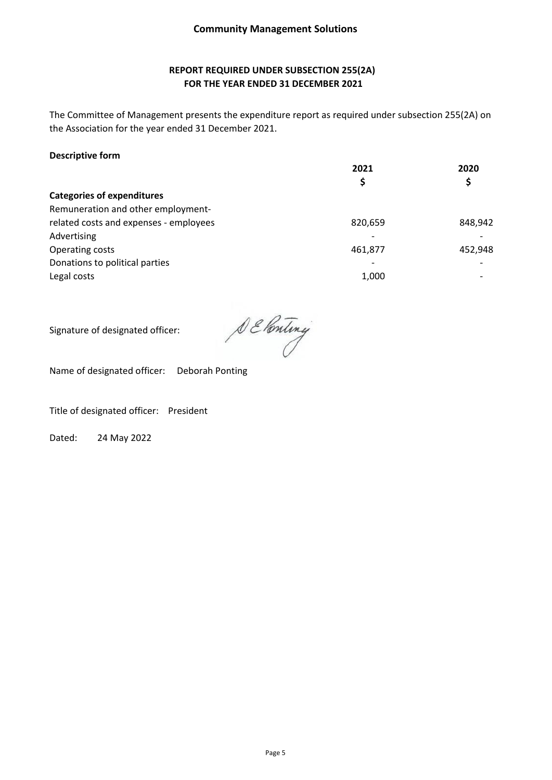### **REPORT REQUIRED UNDER SUBSECTION 255(2A) FOR THE YEAR ENDED 31 DECEMBER 2021**

The Committee of Management presents the expenditure report as required under subsection 255(2A) on the Association for the year ended 31 December 2021.

### **Descriptive form**

|                                        | 2021                     | 2020    |
|----------------------------------------|--------------------------|---------|
|                                        | \$                       | \$      |
| <b>Categories of expenditures</b>      |                          |         |
| Remuneration and other employment-     |                          |         |
| related costs and expenses - employees | 820,659                  | 848,942 |
| Advertising                            | $\overline{\phantom{a}}$ |         |
| Operating costs                        | 461,877                  | 452,948 |
| Donations to political parties         | $\overline{\phantom{a}}$ |         |
| Legal costs                            | 1,000                    |         |
|                                        |                          |         |

Signature of designated officer:

DE Ponting

Name of designated officer: Deborah Ponting

Title of designated officer: President

Dated: 24 May 2022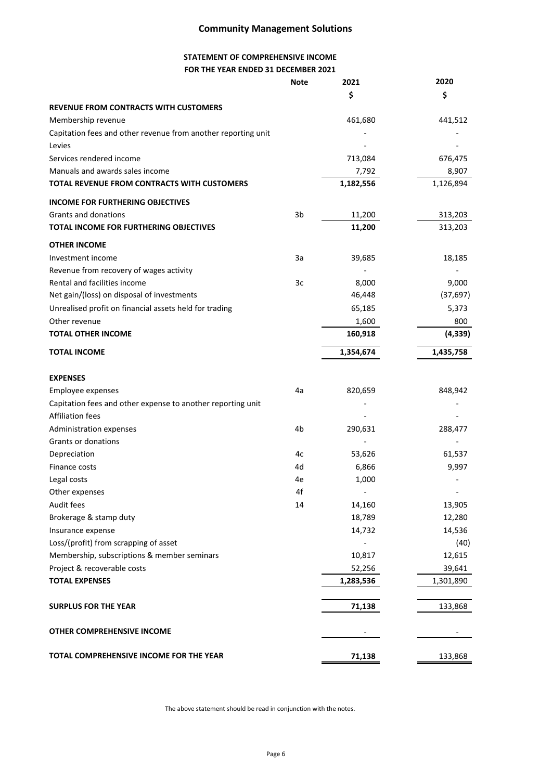## **Community Management Solutions**

### **STATEMENT OF COMPREHENSIVE INCOME FOR THE YEAR ENDED 31 DECEMBER 2021**

|                                                               | <b>Note</b> | 2021      | 2020      |
|---------------------------------------------------------------|-------------|-----------|-----------|
|                                                               |             | \$        | \$        |
| <b>REVENUE FROM CONTRACTS WITH CUSTOMERS</b>                  |             |           |           |
| Membership revenue                                            |             | 461,680   | 441,512   |
| Capitation fees and other revenue from another reporting unit |             |           |           |
| Levies                                                        |             |           |           |
| Services rendered income                                      |             | 713,084   | 676,475   |
| Manuals and awards sales income                               |             | 7,792     | 8,907     |
| TOTAL REVENUE FROM CONTRACTS WITH CUSTOMERS                   |             | 1,182,556 | 1,126,894 |
| <b>INCOME FOR FURTHERING OBJECTIVES</b>                       |             |           |           |
| Grants and donations                                          | 3b          | 11,200    | 313,203   |
| TOTAL INCOME FOR FURTHERING OBJECTIVES                        |             | 11,200    | 313,203   |
| <b>OTHER INCOME</b>                                           |             |           |           |
| Investment income                                             | За          | 39,685    | 18,185    |
| Revenue from recovery of wages activity                       |             |           |           |
| Rental and facilities income                                  | 3c          | 8,000     | 9,000     |
| Net gain/(loss) on disposal of investments                    |             | 46,448    | (37, 697) |
| Unrealised profit on financial assets held for trading        |             | 65,185    | 5,373     |
| Other revenue                                                 |             | 1,600     | 800       |
| <b>TOTAL OTHER INCOME</b>                                     |             | 160,918   | (4, 339)  |
| <b>TOTAL INCOME</b>                                           |             | 1,354,674 | 1,435,758 |
| <b>EXPENSES</b>                                               |             |           |           |
| Employee expenses                                             | 4a          | 820,659   | 848,942   |
| Capitation fees and other expense to another reporting unit   |             |           |           |
| <b>Affiliation fees</b>                                       |             |           |           |
| Administration expenses                                       | 4b          | 290,631   | 288,477   |
| Grants or donations                                           |             |           |           |
| Depreciation                                                  | 4c          | 53,626    | 61,537    |
| Finance costs                                                 | 4d          | 6,866     | 9,997     |
| Legal costs                                                   | 4e          | 1,000     |           |
| Other expenses                                                | 4f          |           |           |
| Audit fees                                                    | 14          | 14,160    | 13,905    |
| Brokerage & stamp duty                                        |             | 18,789    | 12,280    |
| Insurance expense                                             |             | 14,732    | 14,536    |
| Loss/(profit) from scrapping of asset                         |             |           | (40)      |
| Membership, subscriptions & member seminars                   |             | 10,817    | 12,615    |
| Project & recoverable costs                                   |             | 52,256    | 39,641    |
| <b>TOTAL EXPENSES</b>                                         |             | 1,283,536 | 1,301,890 |
| <b>SURPLUS FOR THE YEAR</b>                                   |             | 71,138    | 133,868   |
| OTHER COMPREHENSIVE INCOME                                    |             |           |           |
| TOTAL COMPREHENSIVE INCOME FOR THE YEAR                       |             | 71,138    | 133,868   |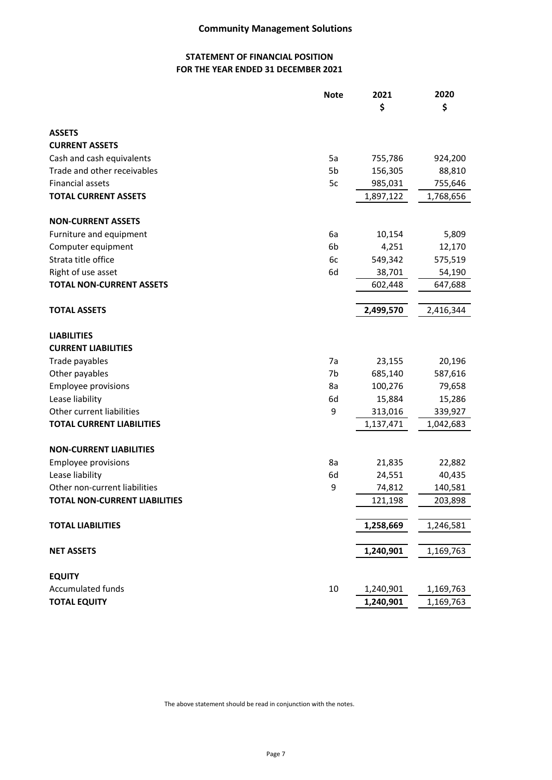### **STATEMENT OF FINANCIAL POSITION FOR THE YEAR ENDED 31 DECEMBER 2021**

|                                      | <b>Note</b> | 2021      | 2020      |
|--------------------------------------|-------------|-----------|-----------|
|                                      |             | \$        | \$        |
| <b>ASSETS</b>                        |             |           |           |
| <b>CURRENT ASSETS</b>                |             |           |           |
| Cash and cash equivalents            | 5a          | 755,786   | 924,200   |
| Trade and other receivables          | 5b          | 156,305   | 88,810    |
| Financial assets                     | 5c          | 985,031   | 755,646   |
| <b>TOTAL CURRENT ASSETS</b>          |             | 1,897,122 | 1,768,656 |
| <b>NON-CURRENT ASSETS</b>            |             |           |           |
| Furniture and equipment              | 6a          | 10,154    | 5,809     |
| Computer equipment                   | 6b          | 4,251     | 12,170    |
| Strata title office                  | 6c          | 549,342   | 575,519   |
| Right of use asset                   | 6d          | 38,701    | 54,190    |
| <b>TOTAL NON-CURRENT ASSETS</b>      |             | 602,448   | 647,688   |
| <b>TOTAL ASSETS</b>                  |             | 2,499,570 | 2,416,344 |
| <b>LIABILITIES</b>                   |             |           |           |
| <b>CURRENT LIABILITIES</b>           |             |           |           |
| Trade payables                       | 7a          | 23,155    | 20,196    |
| Other payables                       | 7b          | 685,140   | 587,616   |
| <b>Employee provisions</b>           | 8a          | 100,276   | 79,658    |
| Lease liability                      | 6d          | 15,884    | 15,286    |
| Other current liabilities            | 9           | 313,016   | 339,927   |
| <b>TOTAL CURRENT LIABILITIES</b>     |             | 1,137,471 | 1,042,683 |
| <b>NON-CURRENT LIABILITIES</b>       |             |           |           |
| <b>Employee provisions</b>           | 8a          | 21,835    | 22,882    |
| Lease liability                      | 6d          | 24,551    | 40,435    |
| Other non-current liabilities        | 9           | 74,812    | 140,581   |
| <b>TOTAL NON-CURRENT LIABILITIES</b> |             | 121,198   | 203,898   |
| <b>TOTAL LIABILITIES</b>             |             | 1,258,669 | 1,246,581 |
| <b>NET ASSETS</b>                    |             | 1,240,901 | 1,169,763 |
| <b>EQUITY</b>                        |             |           |           |
| <b>Accumulated funds</b>             | 10          | 1,240,901 | 1,169,763 |
| <b>TOTAL EQUITY</b>                  |             | 1,240,901 | 1,169,763 |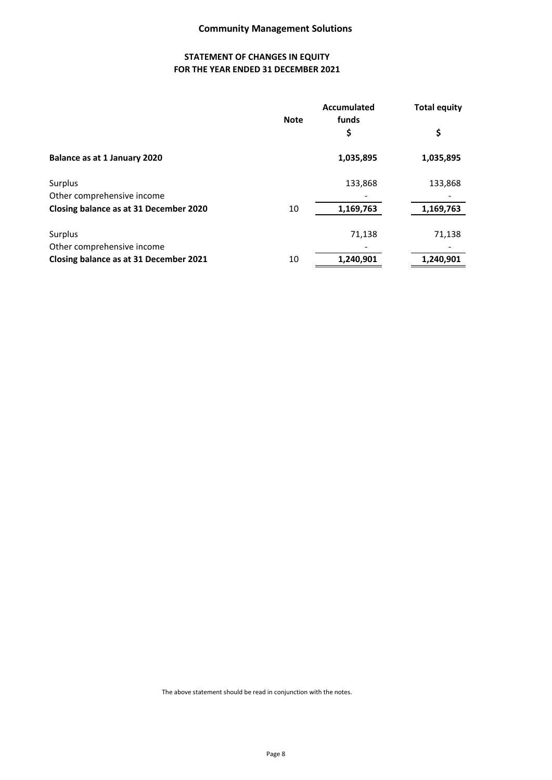### **STATEMENT OF CHANGES IN EQUITY FOR THE YEAR ENDED 31 DECEMBER 2021**

|                                        | <b>Note</b> | Accumulated<br>funds | <b>Total equity</b> |
|----------------------------------------|-------------|----------------------|---------------------|
|                                        |             | \$                   | \$                  |
| Balance as at 1 January 2020           |             | 1,035,895            | 1,035,895           |
| Surplus                                |             | 133,868              | 133,868             |
| Other comprehensive income             |             |                      |                     |
| Closing balance as at 31 December 2020 | 10          | 1,169,763            | 1,169,763           |
| Surplus                                |             | 71,138               | 71,138              |
| Other comprehensive income             |             |                      |                     |
| Closing balance as at 31 December 2021 | 10          | 1,240,901            | 1,240,901           |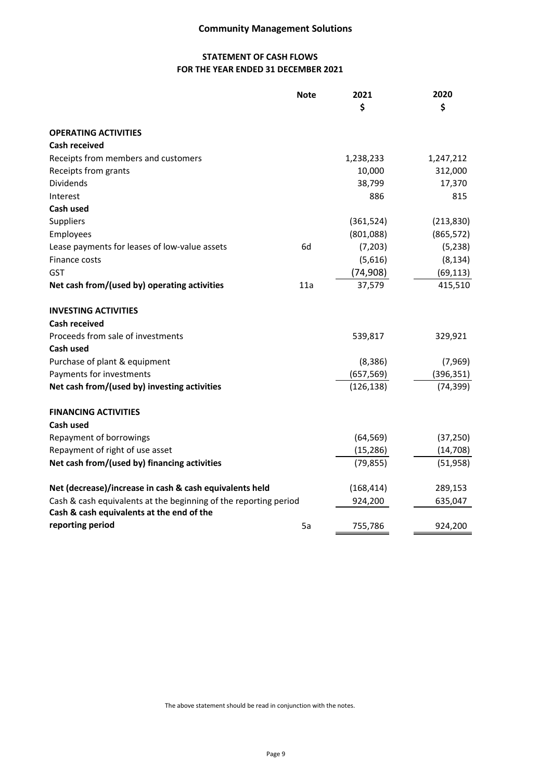## **Community Management Solutions**

## **STATEMENT OF CASH FLOWS FOR THE YEAR ENDED 31 DECEMBER 2021**

|                                                                  | <b>Note</b> | 2021<br>\$ | 2020<br>\$ |
|------------------------------------------------------------------|-------------|------------|------------|
| <b>OPERATING ACTIVITIES</b>                                      |             |            |            |
| <b>Cash received</b>                                             |             |            |            |
| Receipts from members and customers                              |             | 1,238,233  | 1,247,212  |
| Receipts from grants                                             |             | 10,000     | 312,000    |
| Dividends                                                        |             | 38,799     | 17,370     |
| Interest                                                         |             | 886        | 815        |
| <b>Cash used</b>                                                 |             |            |            |
| <b>Suppliers</b>                                                 |             | (361, 524) | (213, 830) |
| Employees                                                        |             | (801,088)  | (865, 572) |
| Lease payments for leases of low-value assets                    | 6d          | (7,203)    | (5, 238)   |
| Finance costs                                                    |             | (5,616)    | (8, 134)   |
| GST                                                              |             | (74, 908)  | (69, 113)  |
| Net cash from/(used by) operating activities                     | 11a         | 37,579     | 415,510    |
| <b>INVESTING ACTIVITIES</b>                                      |             |            |            |
| <b>Cash received</b>                                             |             |            |            |
| Proceeds from sale of investments                                |             | 539,817    | 329,921    |
| Cash used                                                        |             |            |            |
| Purchase of plant & equipment                                    |             | (8, 386)   | (7,969)    |
| Payments for investments                                         |             | (657, 569) | (396, 351) |
| Net cash from/(used by) investing activities                     |             | (126, 138) | (74, 399)  |
| <b>FINANCING ACTIVITIES</b>                                      |             |            |            |
| Cash used                                                        |             |            |            |
| Repayment of borrowings                                          |             | (64, 569)  | (37, 250)  |
| Repayment of right of use asset                                  |             | (15, 286)  | (14, 708)  |
| Net cash from/(used by) financing activities                     |             | (79, 855)  | (51,958)   |
| Net (decrease)/increase in cash & cash equivalents held          |             | (168, 414) | 289,153    |
| Cash & cash equivalents at the beginning of the reporting period |             | 924,200    | 635,047    |
| Cash & cash equivalents at the end of the                        |             |            |            |
| reporting period                                                 | 5a          | 755,786    | 924,200    |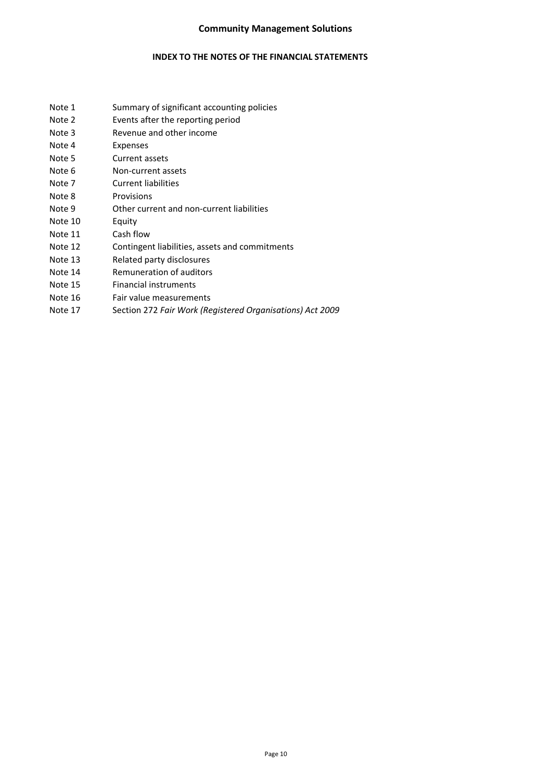### **Community Management Solutions**

### **INDEX TO THE NOTES OF THE FINANCIAL STATEMENTS**

- Note 1 Summary of significant accounting policies
- Note 2 Events after the reporting period
- Note 3 Revenue and other income
- Note 4 Expenses
- Note 5 Current assets
- Note 6 Non-current assets
- Note 7 Current liabilities
- Note 8 Provisions
- Note 9 Other current and non-current liabilities
- Note 10 Equity
- Note 11 Cash flow
- Note 12 Contingent liabilities, assets and commitments
- Note 13 Related party disclosures
- Note 14 Remuneration of auditors
- Note 15 Financial instruments
- Note 16 Fair value measurements
- Note 17 Section 272 *Fair Work (Registered Organisations) Act 2009*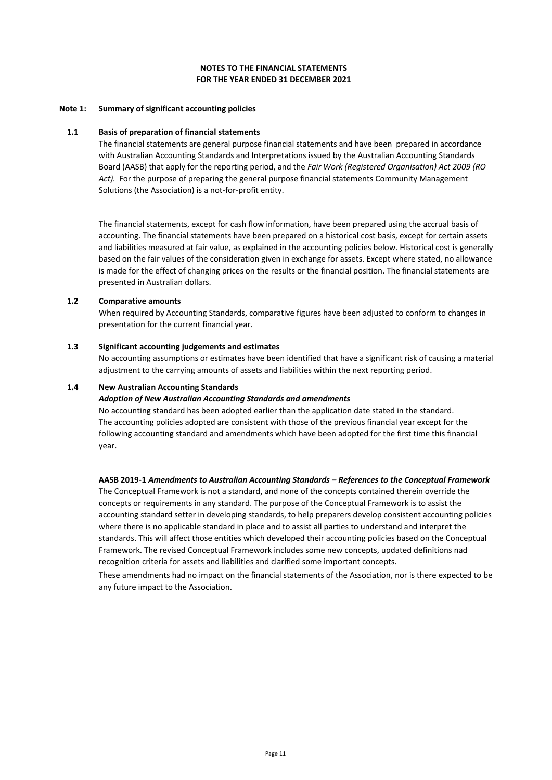#### **Note 1: Summary of significant accounting policies**

#### **1.1 Basis of preparation of financial statements**

The financial statements are general purpose financial statements and have been prepared in accordance with Australian Accounting Standards and Interpretations issued by the Australian Accounting Standards Board (AASB) that apply for the reporting period, and the *Fair Work (Registered Organisation) Act 2009 (RO Act).* For the purpose of preparing the general purpose financial statements Community Management Solutions (the Association) is a not-for-profit entity.

The financial statements, except for cash flow information, have been prepared using the accrual basis of accounting. The financial statements have been prepared on a historical cost basis, except for certain assets and liabilities measured at fair value, as explained in the accounting policies below. Historical cost is generally based on the fair values of the consideration given in exchange for assets. Except where stated, no allowance is made for the effect of changing prices on the results or the financial position. The financial statements are presented in Australian dollars.

#### **1.2 Comparative amounts**

When required by Accounting Standards, comparative figures have been adjusted to conform to changes in presentation for the current financial year.

#### **1.3 Significant accounting judgements and estimates**

No accounting assumptions or estimates have been identified that have a significant risk of causing a material adjustment to the carrying amounts of assets and liabilities within the next reporting period.

#### **1.4 New Australian Accounting Standards**

#### *Adoption of New Australian Accounting Standards and amendments*

No accounting standard has been adopted earlier than the application date stated in the standard. The accounting policies adopted are consistent with those of the previous financial year except for the following accounting standard and amendments which have been adopted for the first time this financial year.

#### **AASB 2019-1** *Amendments to Australian Accounting Standards – References to the Conceptual Framework*

The Conceptual Framework is not a standard, and none of the concepts contained therein override the concepts or requirements in any standard. The purpose of the Conceptual Framework is to assist the accounting standard setter in developing standards, to help preparers develop consistent accounting policies where there is no applicable standard in place and to assist all parties to understand and interpret the standards. This will affect those entities which developed their accounting policies based on the Conceptual Framework. The revised Conceptual Framework includes some new concepts, updated definitions nad recognition criteria for assets and liabilities and clarified some important concepts.

These amendments had no impact on the financial statements of the Association, nor is there expected to be any future impact to the Association.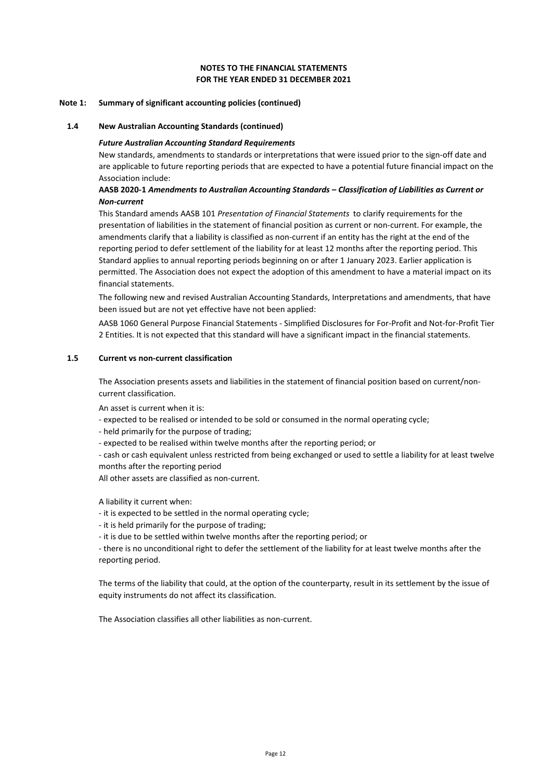#### **FOR THE YEAR ENDED 31 DECEMBER 2021 NOTES TO THE FINANCIAL STATEMENTS**

#### **Note 1: Summary of significant accounting policies (continued)**

#### **1.4 New Australian Accounting Standards (continued)**

#### *Future Australian Accounting Standard Requirements*

New standards, amendments to standards or interpretations that were issued prior to the sign-off date and are applicable to future reporting periods that are expected to have a potential future financial impact on the Association include:

#### **AASB 2020-1** *Amendments to Australian Accounting Standards – Classification of Liabilities as Current or Non-current*

This Standard amends AASB 101 *Presentation of Financial Statements* to clarify requirements for the presentation of liabilities in the statement of financial position as current or non-current. For example, the amendments clarify that a liability is classified as non-current if an entity has the right at the end of the reporting period to defer settlement of the liability for at least 12 months after the reporting period. This Standard applies to annual reporting periods beginning on or after 1 January 2023. Earlier application is permitted. The Association does not expect the adoption of this amendment to have a material impact on its financial statements.

The following new and revised Australian Accounting Standards, Interpretations and amendments, that have been issued but are not yet effective have not been applied:

AASB 1060 General Purpose Financial Statements - Simplified Disclosures for For-Profit and Not-for-Profit Tier 2 Entities. It is not expected that this standard will have a significant impact in the financial statements.

#### **1.5 Current vs non-current classification**

The Association presents assets and liabilities in the statement of financial position based on current/noncurrent classification.

An asset is current when it is:

- expected to be realised or intended to be sold or consumed in the normal operating cycle;
- held primarily for the purpose of trading;
- expected to be realised within twelve months after the reporting period; or

- cash or cash equivalent unless restricted from being exchanged or used to settle a liability for at least twelve months after the reporting period

All other assets are classified as non-current.

A liability it current when:

- it is expected to be settled in the normal operating cycle;

- it is held primarily for the purpose of trading;

- it is due to be settled within twelve months after the reporting period; or

- there is no unconditional right to defer the settlement of the liability for at least twelve months after the reporting period.

The terms of the liability that could, at the option of the counterparty, result in its settlement by the issue of equity instruments do not affect its classification.

The Association classifies all other liabilities as non-current.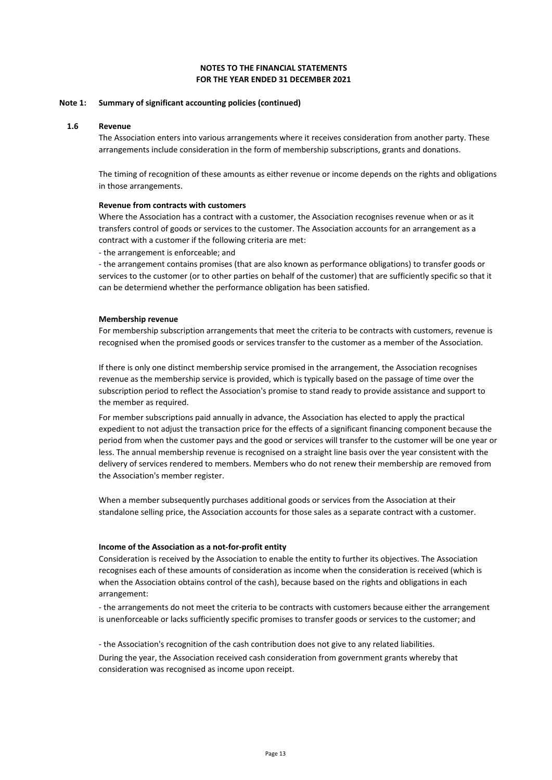#### **FOR THE YEAR ENDED 31 DECEMBER 2021 NOTES TO THE FINANCIAL STATEMENTS**

#### **Note 1: Summary of significant accounting policies (continued)**

#### **1.6 Revenue**

The Association enters into various arrangements where it receives consideration from another party. These arrangements include consideration in the form of membership subscriptions, grants and donations.

The timing of recognition of these amounts as either revenue or income depends on the rights and obligations in those arrangements.

#### **Revenue from contracts with customers**

Where the Association has a contract with a customer, the Association recognises revenue when or as it transfers control of goods or services to the customer. The Association accounts for an arrangement as a contract with a customer if the following criteria are met:

- the arrangement is enforceable; and

- the arrangement contains promises (that are also known as performance obligations) to transfer goods or services to the customer (or to other parties on behalf of the customer) that are sufficiently specific so that it can be determiend whether the performance obligation has been satisfied.

#### **Membership revenue**

For membership subscription arrangements that meet the criteria to be contracts with customers, revenue is recognised when the promised goods or services transfer to the customer as a member of the Association.

If there is only one distinct membership service promised in the arrangement, the Association recognises revenue as the membership service is provided, which is typically based on the passage of time over the subscription period to reflect the Association's promise to stand ready to provide assistance and support to the member as required.

For member subscriptions paid annually in advance, the Association has elected to apply the practical expedient to not adjust the transaction price for the effects of a significant financing component because the period from when the customer pays and the good or services will transfer to the customer will be one year or less. The annual membership revenue is recognised on a straight line basis over the year consistent with the delivery of services rendered to members. Members who do not renew their membership are removed from the Association's member register.

When a member subsequently purchases additional goods or services from the Association at their standalone selling price, the Association accounts for those sales as a separate contract with a customer.

#### **Income of the Association as a not-for-profit entity**

Consideration is received by the Association to enable the entity to further its objectives. The Association recognises each of these amounts of consideration as income when the consideration is received (which is when the Association obtains control of the cash), because based on the rights and obligations in each arrangement:

- the arrangements do not meet the criteria to be contracts with customers because either the arrangement is unenforceable or lacks sufficiently specific promises to transfer goods or services to the customer; and

- the Association's recognition of the cash contribution does not give to any related liabilities. During the year, the Association received cash consideration from government grants whereby that consideration was recognised as income upon receipt.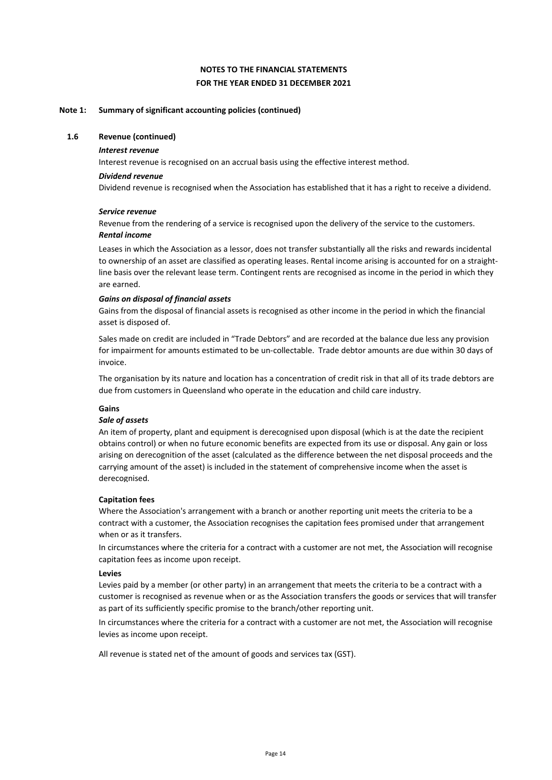#### **Note 1: Summary of significant accounting policies (continued)**

#### **1.6 Revenue (continued)**

#### *Interest revenue*

Interest revenue is recognised on an accrual basis using the effective interest method.

#### *Dividend revenue*

Dividend revenue is recognised when the Association has established that it has a right to receive a dividend.

#### *Service revenue*

*Rental income* Revenue from the rendering of a service is recognised upon the delivery of the service to the customers.

Leases in which the Association as a lessor, does not transfer substantially all the risks and rewards incidental to ownership of an asset are classified as operating leases. Rental income arising is accounted for on a straightline basis over the relevant lease term. Contingent rents are recognised as income in the period in which they are earned.

#### *Gains on disposal of financial assets*

Gains from the disposal of financial assets is recognised as other income in the period in which the financial asset is disposed of.

Sales made on credit are included in "Trade Debtors" and are recorded at the balance due less any provision for impairment for amounts estimated to be un-collectable. Trade debtor amounts are due within 30 days of invoice.

The organisation by its nature and location has a concentration of credit risk in that all of its trade debtors are due from customers in Queensland who operate in the education and child care industry.

#### **Gains**

#### *Sale of assets*

An item of property, plant and equipment is derecognised upon disposal (which is at the date the recipient obtains control) or when no future economic benefits are expected from its use or disposal. Any gain or loss arising on derecognition of the asset (calculated as the difference between the net disposal proceeds and the carrying amount of the asset) is included in the statement of comprehensive income when the asset is derecognised.

#### **Capitation fees**

Where the Association's arrangement with a branch or another reporting unit meets the criteria to be a contract with a customer, the Association recognises the capitation fees promised under that arrangement when or as it transfers.

In circumstances where the criteria for a contract with a customer are not met, the Association will recognise capitation fees as income upon receipt.

#### **Levies**

Levies paid by a member (or other party) in an arrangement that meets the criteria to be a contract with a customer is recognised as revenue when or as the Association transfers the goods or services that will transfer as part of its sufficiently specific promise to the branch/other reporting unit.

In circumstances where the criteria for a contract with a customer are not met, the Association will recognise levies as income upon receipt.

All revenue is stated net of the amount of goods and services tax (GST).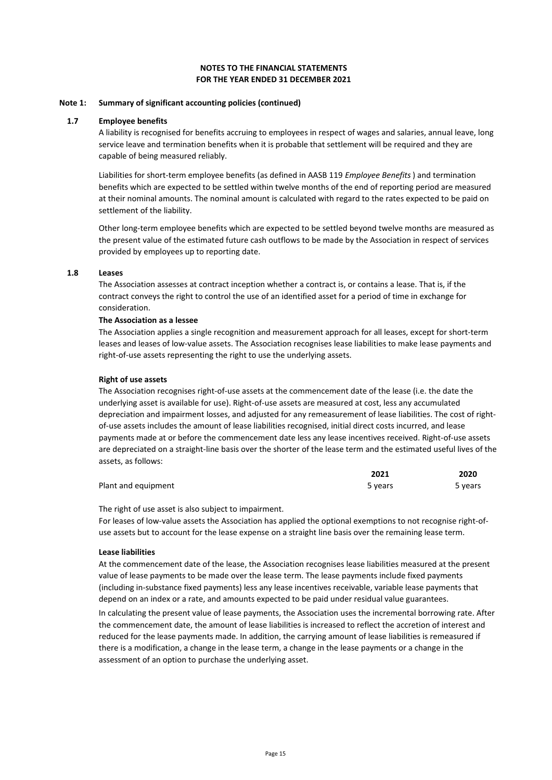#### **FOR THE YEAR ENDED 31 DECEMBER 2021 NOTES TO THE FINANCIAL STATEMENTS**

#### **Note 1: Summary of significant accounting policies (continued)**

#### **1.7 Employee benefits**

A liability is recognised for benefits accruing to employees in respect of wages and salaries, annual leave, long service leave and termination benefits when it is probable that settlement will be required and they are capable of being measured reliably.

Liabilities for short-term employee benefits (as defined in AASB 119 *Employee Benefits*) and termination benefits which are expected to be settled within twelve months of the end of reporting period are measured at their nominal amounts. The nominal amount is calculated with regard to the rates expected to be paid on settlement of the liability.

Other long-term employee benefits which are expected to be settled beyond twelve months are measured as the present value of the estimated future cash outflows to be made by the Association in respect of services provided by employees up to reporting date.

#### **1.8 Leases**

The Association assesses at contract inception whether a contract is, or contains a lease. That is, if the contract conveys the right to control the use of an identified asset for a period of time in exchange for consideration.

#### **The Association as a lessee**

The Association applies a single recognition and measurement approach for all leases, except for short-term leases and leases of low-value assets. The Association recognises lease liabilities to make lease payments and right-of-use assets representing the right to use the underlying assets.

#### **Right of use assets**

The Association recognises right-of-use assets at the commencement date of the lease (i.e. the date the underlying asset is available for use). Right-of-use assets are measured at cost, less any accumulated depreciation and impairment losses, and adjusted for any remeasurement of lease liabilities. The cost of rightof-use assets includes the amount of lease liabilities recognised, initial direct costs incurred, and lease payments made at or before the commencement date less any lease incentives received. Right-of-use assets are depreciated on a straight-line basis over the shorter of the lease term and the estimated useful lives of the assets, as follows:

|                     | 2021    | 2020    |
|---------------------|---------|---------|
| Plant and equipment | 5 years | 5 years |

The right of use asset is also subject to impairment.

For leases of low-value assets the Association has applied the optional exemptions to not recognise right-ofuse assets but to account for the lease expense on a straight line basis over the remaining lease term.

#### **Lease liabilities**

At the commencement date of the lease, the Association recognises lease liabilities measured at the present value of lease payments to be made over the lease term. The lease payments include fixed payments (including in-substance fixed payments) less any lease incentives receivable, variable lease payments that depend on an index or a rate, and amounts expected to be paid under residual value guarantees.

In calculating the present value of lease payments, the Association uses the incremental borrowing rate. After the commencement date, the amount of lease liabilities is increased to reflect the accretion of interest and reduced for the lease payments made. In addition, the carrying amount of lease liabilities is remeasured if there is a modification, a change in the lease term, a change in the lease payments or a change in the assessment of an option to purchase the underlying asset.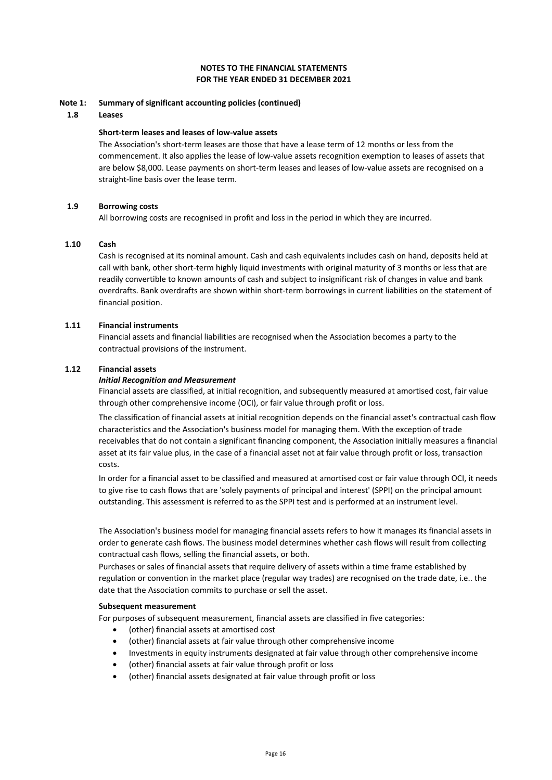#### **Note 1: Summary of significant accounting policies (continued)**

#### **1.8 Leases**

#### **Short-term leases and leases of low-value assets**

The Association's short-term leases are those that have a lease term of 12 months or less from the commencement. It also applies the lease of low-value assets recognition exemption to leases of assets that are below \$8,000. Lease payments on short-term leases and leases of low-value assets are recognised on a straight-line basis over the lease term.

#### **1.9 Borrowing costs**

All borrowing costs are recognised in profit and loss in the period in which they are incurred.

#### **1.10 Cash**

Cash is recognised at its nominal amount. Cash and cash equivalents includes cash on hand, deposits held at call with bank, other short-term highly liquid investments with original maturity of 3 months or less that are readily convertible to known amounts of cash and subject to insignificant risk of changes in value and bank overdrafts. Bank overdrafts are shown within short-term borrowings in current liabilities on the statement of financial position.

#### **1.11 Financial instruments**

Financial assets and financial liabilities are recognised when the Association becomes a party to the contractual provisions of the instrument.

#### **1.12 Financial assets**

#### *Initial Recognition and Measurement*

Financial assets are classified, at initial recognition, and subsequently measured at amortised cost, fair value through other comprehensive income (OCI), or fair value through profit or loss.

The classification of financial assets at initial recognition depends on the financial asset's contractual cash flow characteristics and the Association's business model for managing them. With the exception of trade receivables that do not contain a significant financing component, the Association initially measures a financial asset at its fair value plus, in the case of a financial asset not at fair value through profit or loss, transaction costs.

In order for a financial asset to be classified and measured at amortised cost or fair value through OCI, it needs to give rise to cash flows that are 'solely payments of principal and interest' (SPPI) on the principal amount outstanding. This assessment is referred to as the SPPI test and is performed at an instrument level.

The Association's business model for managing financial assets refers to how it manages its financial assets in order to generate cash flows. The business model determines whether cash flows will result from collecting contractual cash flows, selling the financial assets, or both.

Purchases or sales of financial assets that require delivery of assets within a time frame established by regulation or convention in the market place (regular way trades) are recognised on the trade date, i.e.. the date that the Association commits to purchase or sell the asset.

#### **Subsequent measurement**

For purposes of subsequent measurement, financial assets are classified in five categories:

- (other) financial assets at amortised cost
- (other) financial assets at fair value through other comprehensive income
- Investments in equity instruments designated at fair value through other comprehensive income
- (other) financial assets at fair value through profit or loss
- (other) financial assets designated at fair value through profit or loss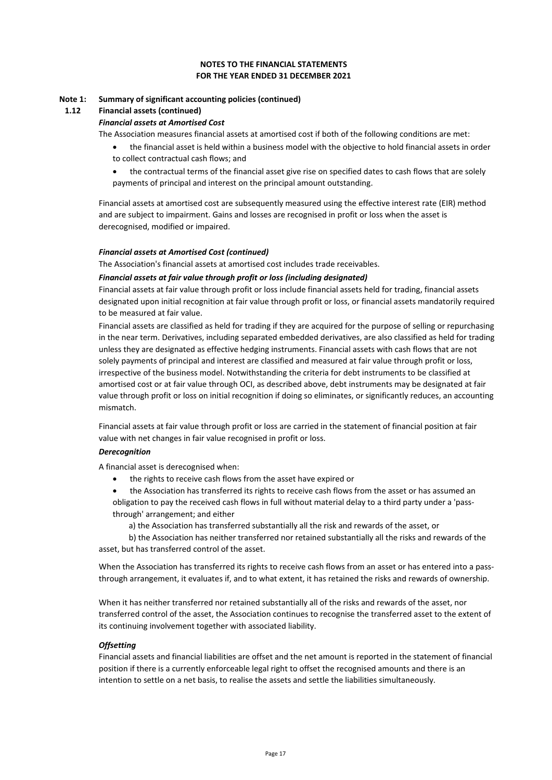#### **FOR THE YEAR ENDED 31 DECEMBER 2021 NOTES TO THE FINANCIAL STATEMENTS**

#### **Note 1: Summary of significant accounting policies (continued)**

#### **1.12 Financial assets (continued)**

#### *Financial assets at Amortised Cost*

The Association measures financial assets at amortised cost if both of the following conditions are met:

- the financial asset is held within a business model with the objective to hold financial assets in order to collect contractual cash flows; and
- the contractual terms of the financial asset give rise on specified dates to cash flows that are solely payments of principal and interest on the principal amount outstanding.

Financial assets at amortised cost are subsequently measured using the effective interest rate (EIR) method and are subject to impairment. Gains and losses are recognised in profit or loss when the asset is derecognised, modified or impaired.

#### *Financial assets at Amortised Cost (continued)*

The Association's financial assets at amortised cost includes trade receivables.

#### *Financial assets at fair value through profit or loss (including designated)*

Financial assets at fair value through profit or loss include financial assets held for trading, financial assets designated upon initial recognition at fair value through profit or loss, or financial assets mandatorily required to be measured at fair value.

Financial assets are classified as held for trading if they are acquired for the purpose of selling or repurchasing in the near term. Derivatives, including separated embedded derivatives, are also classified as held for trading unless they are designated as effective hedging instruments. Financial assets with cash flows that are not solely payments of principal and interest are classified and measured at fair value through profit or loss, irrespective of the business model. Notwithstanding the criteria for debt instruments to be classified at amortised cost or at fair value through OCI, as described above, debt instruments may be designated at fair value through profit or loss on initial recognition if doing so eliminates, or significantly reduces, an accounting mismatch.

Financial assets at fair value through profit or loss are carried in the statement of financial position at fair value with net changes in fair value recognised in profit or loss.

#### *Derecognition*

A financial asset is derecognised when:

- the rights to receive cash flows from the asset have expired or
- the Association has transferred its rights to receive cash flows from the asset or has assumed an obligation to pay the received cash flows in full without material delay to a third party under a 'passthrough' arrangement; and either
	- a) the Association has transferred substantially all the risk and rewards of the asset, or

 b) the Association has neither transferred nor retained substantially all the risks and rewards of the asset, but has transferred control of the asset.

When the Association has transferred its rights to receive cash flows from an asset or has entered into a passthrough arrangement, it evaluates if, and to what extent, it has retained the risks and rewards of ownership.

When it has neither transferred nor retained substantially all of the risks and rewards of the asset, nor transferred control of the asset, the Association continues to recognise the transferred asset to the extent of its continuing involvement together with associated liability.

#### *Offsetting*

Financial assets and financial liabilities are offset and the net amount is reported in the statement of financial position if there is a currently enforceable legal right to offset the recognised amounts and there is an intention to settle on a net basis, to realise the assets and settle the liabilities simultaneously.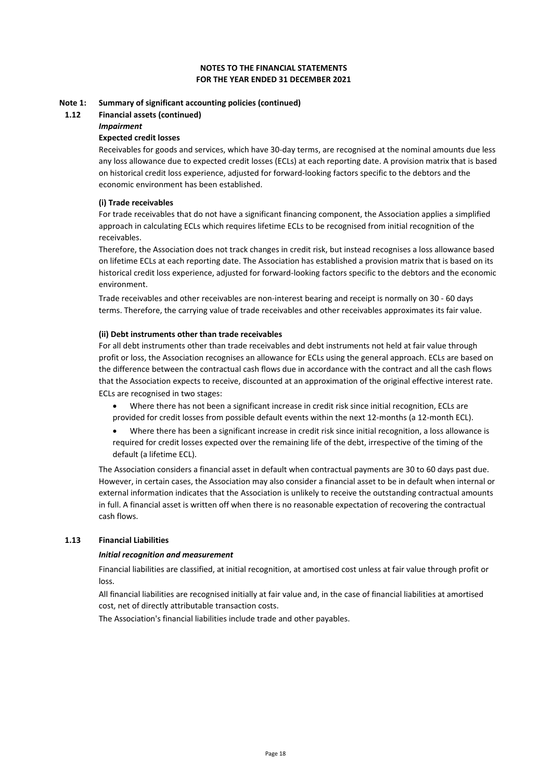#### **FOR THE YEAR ENDED 31 DECEMBER 2021 NOTES TO THE FINANCIAL STATEMENTS**

#### **Note 1: Summary of significant accounting policies (continued)**

#### **1.12 Financial assets (continued)**

#### *Impairment*

#### **Expected credit losses**

Receivables for goods and services, which have 30-day terms, are recognised at the nominal amounts due less any loss allowance due to expected credit losses (ECLs) at each reporting date. A provision matrix that is based on historical credit loss experience, adjusted for forward-looking factors specific to the debtors and the economic environment has been established.

#### **(i) Trade receivables**

For trade receivables that do not have a significant financing component, the Association applies a simplified approach in calculating ECLs which requires lifetime ECLs to be recognised from initial recognition of the receivables.

Therefore, the Association does not track changes in credit risk, but instead recognises a loss allowance based on lifetime ECLs at each reporting date. The Association has established a provision matrix that is based on its historical credit loss experience, adjusted for forward-looking factors specific to the debtors and the economic environment.

Trade receivables and other receivables are non-interest bearing and receipt is normally on 30 - 60 days terms. Therefore, the carrying value of trade receivables and other receivables approximates its fair value.

#### **(ii) Debt instruments other than trade receivables**

ECLs are recognised in two stages: For all debt instruments other than trade receivables and debt instruments not held at fair value through profit or loss, the Association recognises an allowance for ECLs using the general approach. ECLs are based on the difference between the contractual cash flows due in accordance with the contract and all the cash flows that the Association expects to receive, discounted at an approximation of the original effective interest rate.

- Where there has not been a significant increase in credit risk since initial recognition, ECLs are provided for credit losses from possible default events within the next 12-months (a 12-month ECL).
- Where there has been a significant increase in credit risk since initial recognition, a loss allowance is required for credit losses expected over the remaining life of the debt, irrespective of the timing of the default (a lifetime ECL).

The Association considers a financial asset in default when contractual payments are 30 to 60 days past due. However, in certain cases, the Association may also consider a financial asset to be in default when internal or external information indicates that the Association is unlikely to receive the outstanding contractual amounts in full. A financial asset is written off when there is no reasonable expectation of recovering the contractual cash flows.

#### **1.13 Financial Liabilities**

#### *Initial recognition and measurement*

Financial liabilities are classified, at initial recognition, at amortised cost unless at fair value through profit or loss.

All financial liabilities are recognised initially at fair value and, in the case of financial liabilities at amortised cost, net of directly attributable transaction costs.

The Association's financial liabilities include trade and other payables.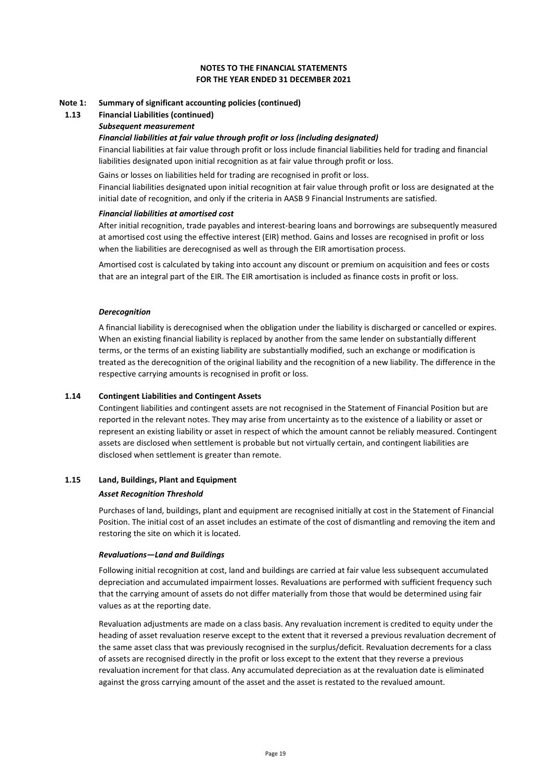#### **Note 1: Summary of significant accounting policies (continued)**

# **1.13 Financial Liabilities (continued)**

### *Subsequent measurement*

#### *Financial liabilities at fair value through profit or loss (including designated)*

Financial liabilities at fair value through profit or loss include financial liabilities held for trading and financial liabilities designated upon initial recognition as at fair value through profit or loss.

Gains or losses on liabilities held for trading are recognised in profit or loss. Financial liabilities designated upon initial recognition at fair value through profit or loss are designated at the initial date of recognition, and only if the criteria in AASB 9 Financial Instruments are satisfied.

#### *Financial liabilities at amortised cost*

After initial recognition, trade payables and interest-bearing loans and borrowings are subsequently measured at amortised cost using the effective interest (EIR) method. Gains and losses are recognised in profit or loss when the liabilities are derecognised as well as through the EIR amortisation process.

Amortised cost is calculated by taking into account any discount or premium on acquisition and fees or costs that are an integral part of the EIR. The EIR amortisation is included as finance costs in profit or loss.

#### *Derecognition*

A financial liability is derecognised when the obligation under the liability is discharged or cancelled or expires. When an existing financial liability is replaced by another from the same lender on substantially different terms, or the terms of an existing liability are substantially modified, such an exchange or modification is treated as the derecognition of the original liability and the recognition of a new liability. The difference in the respective carrying amounts is recognised in profit or loss.

#### **1.14 Contingent Liabilities and Contingent Assets**

Contingent liabilities and contingent assets are not recognised in the Statement of Financial Position but are reported in the relevant notes. They may arise from uncertainty as to the existence of a liability or asset or represent an existing liability or asset in respect of which the amount cannot be reliably measured. Contingent assets are disclosed when settlement is probable but not virtually certain, and contingent liabilities are disclosed when settlement is greater than remote.

#### **1.15 Land, Buildings, Plant and Equipment**

#### *Asset Recognition Threshold*

Purchases of land, buildings, plant and equipment are recognised initially at cost in the Statement of Financial Position. The initial cost of an asset includes an estimate of the cost of dismantling and removing the item and restoring the site on which it is located.

#### *Revaluations—Land and Buildings*

Following initial recognition at cost, land and buildings are carried at fair value less subsequent accumulated depreciation and accumulated impairment losses. Revaluations are performed with sufficient frequency such that the carrying amount of assets do not differ materially from those that would be determined using fair values as at the reporting date.

Revaluation adjustments are made on a class basis. Any revaluation increment is credited to equity under the heading of asset revaluation reserve except to the extent that it reversed a previous revaluation decrement of the same asset class that was previously recognised in the surplus/deficit. Revaluation decrements for a class of assets are recognised directly in the profit or loss except to the extent that they reverse a previous revaluation increment for that class. Any accumulated depreciation as at the revaluation date is eliminated against the gross carrying amount of the asset and the asset is restated to the revalued amount.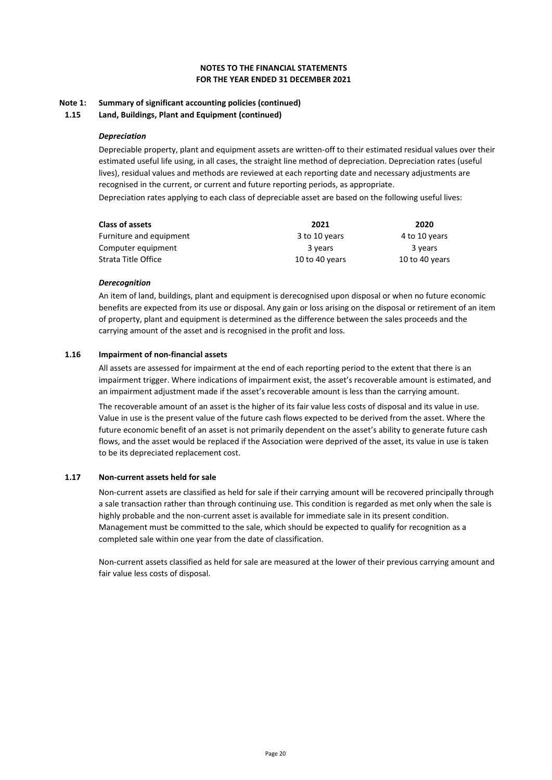#### **Note 1: Summary of significant accounting policies (continued)**

**1.15 Land, Buildings, Plant and Equipment (continued)**

#### *Depreciation*

Depreciable property, plant and equipment assets are written-off to their estimated residual values over their estimated useful life using, in all cases, the straight line method of depreciation. Depreciation rates (useful lives), residual values and methods are reviewed at each reporting date and necessary adjustments are recognised in the current, or current and future reporting periods, as appropriate. Depreciation rates applying to each class of depreciable asset are based on the following useful lives:

| <b>Class of assets</b>  | 2021           | 2020           |
|-------------------------|----------------|----------------|
| Furniture and equipment | 3 to 10 years  | 4 to 10 years  |
| Computer equipment      | 3 years        | 3 years        |
| Strata Title Office     | 10 to 40 years | 10 to 40 years |

#### *Derecognition*

An item of land, buildings, plant and equipment is derecognised upon disposal or when no future economic benefits are expected from its use or disposal. Any gain or loss arising on the disposal or retirement of an item of property, plant and equipment is determined as the difference between the sales proceeds and the carrying amount of the asset and is recognised in the profit and loss.

#### **1.16 Impairment of non-financial assets**

All assets are assessed for impairment at the end of each reporting period to the extent that there is an impairment trigger. Where indications of impairment exist, the asset's recoverable amount is estimated, and an impairment adjustment made if the asset's recoverable amount is less than the carrying amount.

The recoverable amount of an asset is the higher of its fair value less costs of disposal and its value in use. Value in use is the present value of the future cash flows expected to be derived from the asset. Where the future economic benefit of an asset is not primarily dependent on the asset's ability to generate future cash flows, and the asset would be replaced if the Association were deprived of the asset, its value in use is taken to be its depreciated replacement cost.

### **1.17 Non-current assets held for sale**

Non-current assets are classified as held for sale if their carrying amount will be recovered principally through a sale transaction rather than through continuing use. This condition is regarded as met only when the sale is highly probable and the non-current asset is available for immediate sale in its present condition. Management must be committed to the sale, which should be expected to qualify for recognition as a completed sale within one year from the date of classification.

Non-current assets classified as held for sale are measured at the lower of their previous carrying amount and fair value less costs of disposal.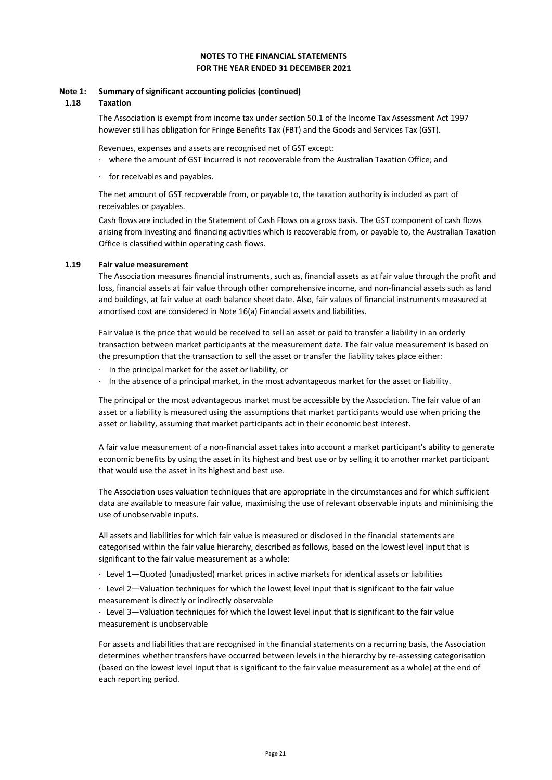#### **Note 1: Summary of significant accounting policies (continued)**

#### **1.18 Taxation**

The Association is exempt from income tax under section 50.1 of the Income Tax Assessment Act 1997 however still has obligation for Fringe Benefits Tax (FBT) and the Goods and Services Tax (GST).

Revenues, expenses and assets are recognised net of GST except:

- · where the amount of GST incurred is not recoverable from the Australian Taxation Office; and
- for receivables and payables.

The net amount of GST recoverable from, or payable to, the taxation authority is included as part of receivables or payables.

Cash flows are included in the Statement of Cash Flows on a gross basis. The GST component of cash flows arising from investing and financing activities which is recoverable from, or payable to, the Australian Taxation Office is classified within operating cash flows.

#### **1.19 Fair value measurement**

The Association measures financial instruments, such as, financial assets as at fair value through the profit and loss, financial assets at fair value through other comprehensive income, and non-financial assets such as land and buildings, at fair value at each balance sheet date. Also, fair values of financial instruments measured at amortised cost are considered in Note 16(a) Financial assets and liabilities.

Fair value is the price that would be received to sell an asset or paid to transfer a liability in an orderly transaction between market participants at the measurement date. The fair value measurement is based on the presumption that the transaction to sell the asset or transfer the liability takes place either:

- · In the principal market for the asset or liability, or
- · In the absence of a principal market, in the most advantageous market for the asset or liability.

The principal or the most advantageous market must be accessible by the Association. The fair value of an asset or a liability is measured using the assumptions that market participants would use when pricing the asset or liability, assuming that market participants act in their economic best interest.

A fair value measurement of a non-financial asset takes into account a market participant's ability to generate economic benefits by using the asset in its highest and best use or by selling it to another market participant that would use the asset in its highest and best use.

The Association uses valuation techniques that are appropriate in the circumstances and for which sufficient data are available to measure fair value, maximising the use of relevant observable inputs and minimising the use of unobservable inputs.

All assets and liabilities for which fair value is measured or disclosed in the financial statements are categorised within the fair value hierarchy, described as follows, based on the lowest level input that is significant to the fair value measurement as a whole:

· Level 1—Quoted (unadjusted) market prices in active markets for identical assets or liabilities

· Level 2—Valuation techniques for which the lowest level input that is significant to the fair value measurement is directly or indirectly observable

· Level 3—Valuation techniques for which the lowest level input that is significant to the fair value measurement is unobservable

For assets and liabilities that are recognised in the financial statements on a recurring basis, the Association determines whether transfers have occurred between levels in the hierarchy by re-assessing categorisation (based on the lowest level input that is significant to the fair value measurement as a whole) at the end of each reporting period.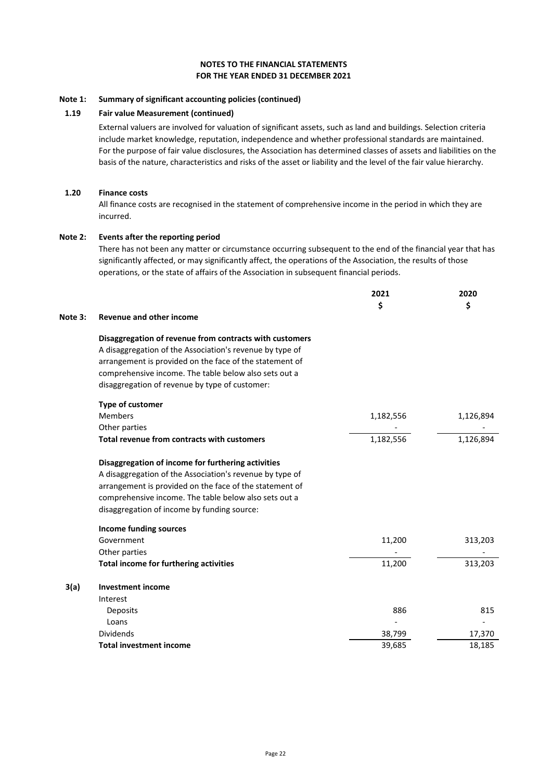#### **Note 1: Summary of significant accounting policies (continued)**

#### **1.19 Fair value Measurement (continued)**

External valuers are involved for valuation of significant assets, such as land and buildings. Selection criteria include market knowledge, reputation, independence and whether professional standards are maintained. For the purpose of fair value disclosures, the Association has determined classes of assets and liabilities on the basis of the nature, characteristics and risks of the asset or liability and the level of the fair value hierarchy.

#### **1.20 Finance costs**

All finance costs are recognised in the statement of comprehensive income in the period in which they are incurred.

#### **Note 2: Events after the reporting period**

There has not been any matter or circumstance occurring subsequent to the end of the financial year that has significantly affected, or may significantly affect, the operations of the Association, the results of those operations, or the state of affairs of the Association in subsequent financial periods.

|         |                                                          | 2021      | 2020      |
|---------|----------------------------------------------------------|-----------|-----------|
|         |                                                          | \$        | \$        |
| Note 3: | <b>Revenue and other income</b>                          |           |           |
|         | Disaggregation of revenue from contracts with customers  |           |           |
|         | A disaggregation of the Association's revenue by type of |           |           |
|         | arrangement is provided on the face of the statement of  |           |           |
|         | comprehensive income. The table below also sets out a    |           |           |
|         | disaggregation of revenue by type of customer:           |           |           |
|         | Type of customer                                         |           |           |
|         | <b>Members</b>                                           | 1,182,556 | 1,126,894 |
|         | Other parties                                            |           |           |
|         | Total revenue from contracts with customers              | 1,182,556 | 1,126,894 |
|         | Disaggregation of income for furthering activities       |           |           |
|         | A disaggregation of the Association's revenue by type of |           |           |
|         | arrangement is provided on the face of the statement of  |           |           |
|         | comprehensive income. The table below also sets out a    |           |           |
|         | disaggregation of income by funding source:              |           |           |
|         | <b>Income funding sources</b>                            |           |           |
|         | Government                                               | 11,200    | 313,203   |
|         | Other parties                                            |           |           |
|         | Total income for furthering activities                   | 11,200    | 313,203   |
| 3(a)    | <b>Investment income</b>                                 |           |           |
|         | Interest                                                 |           |           |
|         | Deposits                                                 | 886       | 815       |
|         | Loans                                                    |           |           |
|         | <b>Dividends</b>                                         | 38,799    | 17,370    |
|         | <b>Total investment income</b>                           | 39,685    | 18,185    |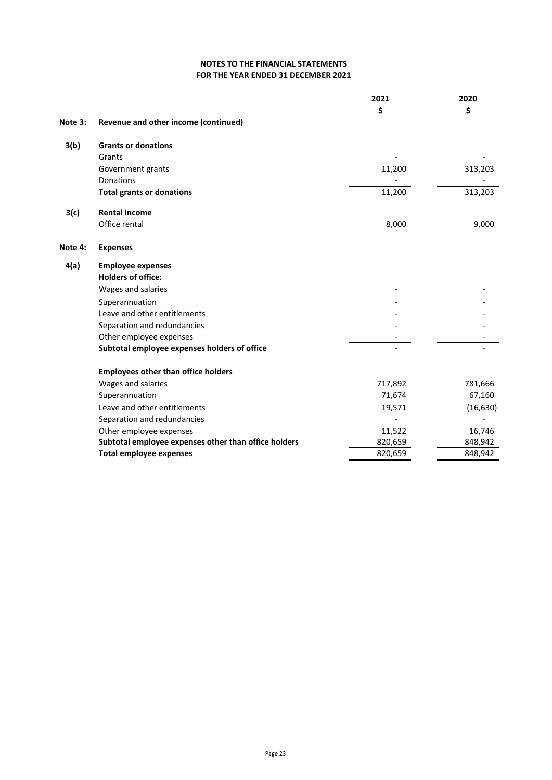|         |                                                      | 2021    | 2020      |
|---------|------------------------------------------------------|---------|-----------|
|         |                                                      | \$      | \$        |
| Note 3: | Revenue and other income (continued)                 |         |           |
| 3(b)    | <b>Grants or donations</b>                           |         |           |
|         | Grants                                               |         |           |
|         | Government grants                                    | 11,200  | 313,203   |
|         | <b>Donations</b>                                     |         |           |
|         | <b>Total grants or donations</b>                     | 11,200  | 313,203   |
| 3(c)    | <b>Rental income</b>                                 |         |           |
|         | Office rental                                        | 8,000   | 9,000     |
| Note 4: | <b>Expenses</b>                                      |         |           |
| 4(a)    | <b>Employee expenses</b>                             |         |           |
|         | <b>Holders of office:</b>                            |         |           |
|         | Wages and salaries                                   |         |           |
|         | Superannuation                                       |         |           |
|         | Leave and other entitlements                         |         |           |
|         | Separation and redundancies                          |         |           |
|         | Other employee expenses                              |         |           |
|         | Subtotal employee expenses holders of office         |         |           |
|         | <b>Employees other than office holders</b>           |         |           |
|         | Wages and salaries                                   | 717,892 | 781,666   |
|         | Superannuation                                       | 71,674  | 67,160    |
|         | Leave and other entitlements                         | 19,571  | (16, 630) |
|         | Separation and redundancies                          |         |           |
|         | Other employee expenses                              | 11,522  | 16,746    |
|         | Subtotal employee expenses other than office holders | 820,659 | 848,942   |
|         | <b>Total employee expenses</b>                       | 820,659 | 848,942   |
|         |                                                      |         |           |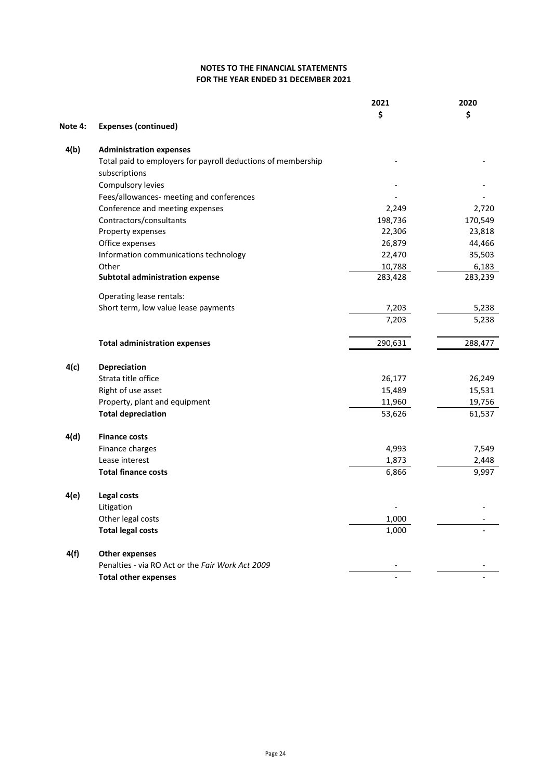|         |                                                              | 2021    | 2020    |
|---------|--------------------------------------------------------------|---------|---------|
|         |                                                              | \$      | \$      |
| Note 4: | <b>Expenses (continued)</b>                                  |         |         |
| 4(b)    | <b>Administration expenses</b>                               |         |         |
|         | Total paid to employers for payroll deductions of membership |         |         |
|         | subscriptions                                                |         |         |
|         | Compulsory levies                                            |         |         |
|         | Fees/allowances- meeting and conferences                     |         |         |
|         | Conference and meeting expenses                              | 2,249   | 2,720   |
|         | Contractors/consultants                                      | 198,736 | 170,549 |
|         | Property expenses                                            | 22,306  | 23,818  |
|         | Office expenses                                              | 26,879  | 44,466  |
|         | Information communications technology                        | 22,470  | 35,503  |
|         | Other                                                        | 10,788  | 6,183   |
|         | <b>Subtotal administration expense</b>                       | 283,428 | 283,239 |
|         | Operating lease rentals:                                     |         |         |
|         | Short term, low value lease payments                         | 7,203   | 5,238   |
|         |                                                              | 7,203   | 5,238   |
|         | <b>Total administration expenses</b>                         | 290,631 | 288,477 |
| 4(c)    | Depreciation                                                 |         |         |
|         | Strata title office                                          | 26,177  | 26,249  |
|         | Right of use asset                                           | 15,489  | 15,531  |
|         | Property, plant and equipment                                | 11,960  | 19,756  |
|         | <b>Total depreciation</b>                                    | 53,626  | 61,537  |
| 4(d)    | <b>Finance costs</b>                                         |         |         |
|         | Finance charges                                              | 4,993   | 7,549   |
|         | Lease interest                                               | 1,873   | 2,448   |
|         | <b>Total finance costs</b>                                   | 6,866   | 9,997   |
| 4(e)    | Legal costs                                                  |         |         |
|         |                                                              |         |         |
|         | Litigation<br>Other legal costs                              | 1,000   |         |
|         | <b>Total legal costs</b>                                     | 1,000   |         |
|         |                                                              |         |         |
| 4(f)    | <b>Other expenses</b>                                        |         |         |
|         | Penalties - via RO Act or the Fair Work Act 2009             |         |         |
|         | <b>Total other expenses</b>                                  |         |         |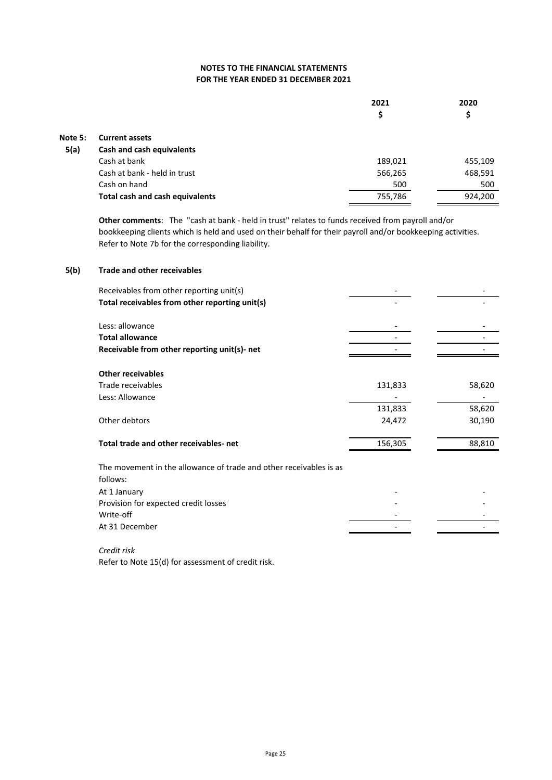|         |                                        | 2021<br>\$ | 2020<br>\$ |
|---------|----------------------------------------|------------|------------|
| Note 5: | <b>Current assets</b>                  |            |            |
| 5(a)    | Cash and cash equivalents              |            |            |
|         | Cash at bank                           | 189,021    | 455,109    |
|         | Cash at bank - held in trust           | 566,265    | 468,591    |
|         | Cash on hand                           | 500        | 500        |
|         | <b>Total cash and cash equivalents</b> | 755,786    | 924,200    |

**Other comments**: The "cash at bank - held in trust" relates to funds received from payroll and/or bookkeeping clients which is held and used on their behalf for their payroll and/or bookkeeping activities. Refer to Note 7b for the corresponding liability.

### **5(b) Trade and other receivables**

| Receivables from other reporting unit(s)                           |         |        |
|--------------------------------------------------------------------|---------|--------|
| Total receivables from other reporting unit(s)                     |         |        |
| Less: allowance                                                    |         |        |
|                                                                    |         |        |
| <b>Total allowance</b>                                             |         |        |
| Receivable from other reporting unit(s)- net                       |         |        |
| <b>Other receivables</b>                                           |         |        |
| Trade receivables                                                  | 131,833 | 58,620 |
| Less: Allowance                                                    |         |        |
|                                                                    | 131,833 | 58,620 |
| Other debtors                                                      | 24,472  | 30,190 |
| Total trade and other receivables-net                              | 156,305 | 88,810 |
|                                                                    |         |        |
| The movement in the allowance of trade and other receivables is as |         |        |
| follows:                                                           |         |        |
| At 1 January                                                       |         |        |
| Provision for expected credit losses                               |         |        |
| Write-off                                                          |         |        |
| At 31 December                                                     |         |        |
|                                                                    |         |        |

*Credit risk* Refer to Note 15(d) for assessment of credit risk.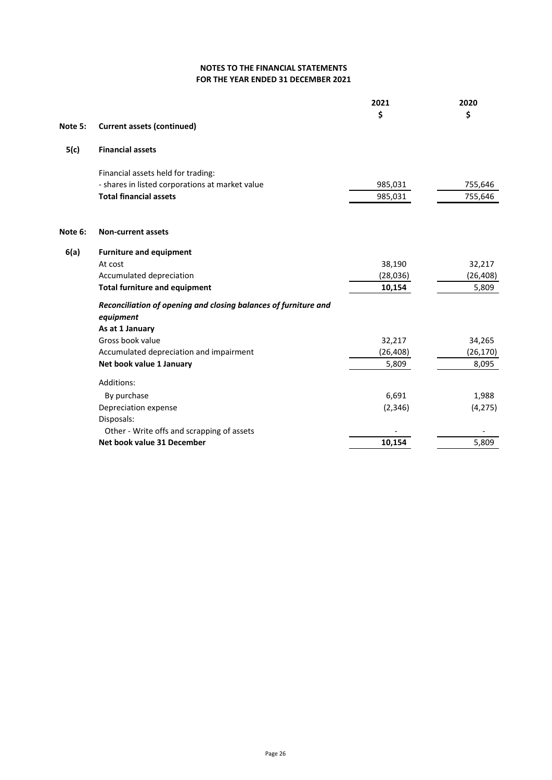|         |                                                                              | 2021      | 2020      |
|---------|------------------------------------------------------------------------------|-----------|-----------|
|         |                                                                              | \$        | \$        |
| Note 5: | <b>Current assets (continued)</b>                                            |           |           |
| 5(c)    | <b>Financial assets</b>                                                      |           |           |
|         | Financial assets held for trading:                                           |           |           |
|         | - shares in listed corporations at market value                              | 985,031   | 755,646   |
|         | <b>Total financial assets</b>                                                | 985,031   | 755,646   |
| Note 6: | <b>Non-current assets</b>                                                    |           |           |
| 6(a)    | <b>Furniture and equipment</b>                                               |           |           |
|         | At cost                                                                      | 38,190    | 32,217    |
|         | Accumulated depreciation                                                     | (28,036)  | (26, 408) |
|         | <b>Total furniture and equipment</b>                                         | 10,154    | 5,809     |
|         | Reconciliation of opening and closing balances of furniture and<br>equipment |           |           |
|         | As at 1 January                                                              |           |           |
|         | Gross book value                                                             | 32,217    | 34,265    |
|         | Accumulated depreciation and impairment                                      | (26, 408) | (26, 170) |
|         | Net book value 1 January                                                     | 5,809     | 8,095     |
|         | Additions:                                                                   |           |           |
|         | By purchase                                                                  | 6,691     | 1,988     |
|         | Depreciation expense                                                         | (2, 346)  | (4, 275)  |
|         | Disposals:                                                                   |           |           |
|         | Other - Write offs and scrapping of assets                                   |           |           |
|         | Net book value 31 December                                                   | 10,154    | 5,809     |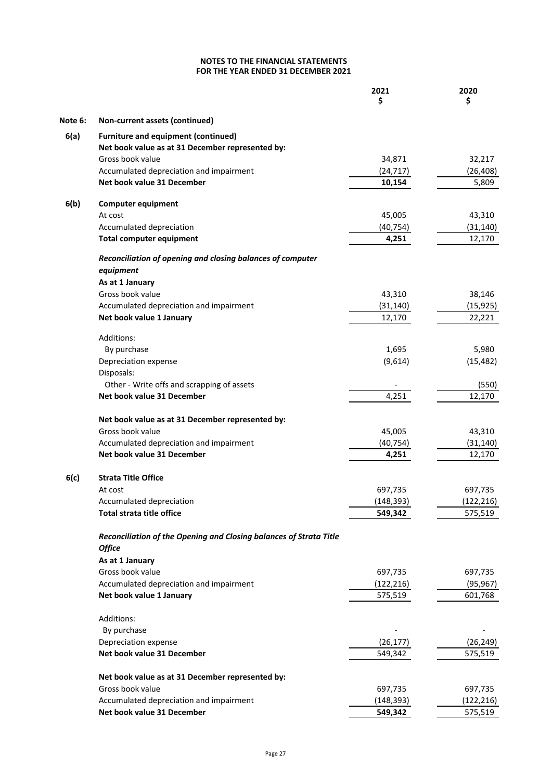|         |                                                                         | 2021<br>Ś             | 2020<br>\$            |
|---------|-------------------------------------------------------------------------|-----------------------|-----------------------|
| Note 6: | Non-current assets (continued)                                          |                       |                       |
| 6(a)    | <b>Furniture and equipment (continued)</b>                              |                       |                       |
|         | Net book value as at 31 December represented by:                        |                       |                       |
|         | Gross book value                                                        | 34,871                | 32,217                |
|         | Accumulated depreciation and impairment                                 | (24, 717)             | (26, 408)             |
|         | Net book value 31 December                                              | 10,154                | 5,809                 |
| 6(b)    | <b>Computer equipment</b>                                               |                       |                       |
|         | At cost                                                                 | 45,005                | 43,310                |
|         | Accumulated depreciation                                                | (40, 754)             | (31, 140)             |
|         | <b>Total computer equipment</b>                                         | 4,251                 | 12,170                |
|         | Reconciliation of opening and closing balances of computer<br>equipment |                       |                       |
|         | As at 1 January                                                         |                       |                       |
|         | Gross book value                                                        | 43,310                | 38,146                |
|         | Accumulated depreciation and impairment                                 | (31, 140)             | (15, 925)             |
|         | Net book value 1 January                                                | 12,170                | 22,221                |
|         |                                                                         |                       |                       |
|         | Additions:<br>By purchase                                               | 1,695                 | 5,980                 |
|         | Depreciation expense                                                    | (9,614)               | (15, 482)             |
|         | Disposals:                                                              |                       |                       |
|         | Other - Write offs and scrapping of assets                              |                       | (550)                 |
|         | Net book value 31 December                                              | 4,251                 | 12,170                |
|         | Net book value as at 31 December represented by:                        |                       |                       |
|         | Gross book value                                                        | 45,005                | 43,310                |
|         | Accumulated depreciation and impairment                                 | (40, 754)             | (31, 140)             |
|         | Net book value 31 December                                              | 4,251                 | 12,170                |
| 6(c)    | <b>Strata Title Office</b>                                              |                       |                       |
|         | At cost                                                                 | 697,735               | 697,735               |
|         | Accumulated depreciation                                                | (148, 393)            | (122, 216)            |
|         | Total strata title office                                               | 549,342               | 575,519               |
|         | Reconciliation of the Opening and Closing balances of Strata Title      |                       |                       |
|         | <b>Office</b>                                                           |                       |                       |
|         | As at 1 January                                                         |                       |                       |
|         | Gross book value                                                        | 697,735               | 697,735               |
|         | Accumulated depreciation and impairment                                 | (122, 216)            | (95, 967)             |
|         | Net book value 1 January                                                | 575,519               | 601,768               |
|         | Additions:                                                              |                       |                       |
|         | By purchase                                                             |                       |                       |
|         | Depreciation expense                                                    | (26, 177)             | (26, 249)             |
|         | Net book value 31 December                                              | 549,342               | 575,519               |
|         |                                                                         |                       |                       |
|         | Net book value as at 31 December represented by:                        |                       |                       |
|         | Gross book value<br>Accumulated depreciation and impairment             | 697,735<br>(148, 393) | 697,735<br>(122, 216) |
|         | Net book value 31 December                                              | 549,342               | 575,519               |
|         |                                                                         |                       |                       |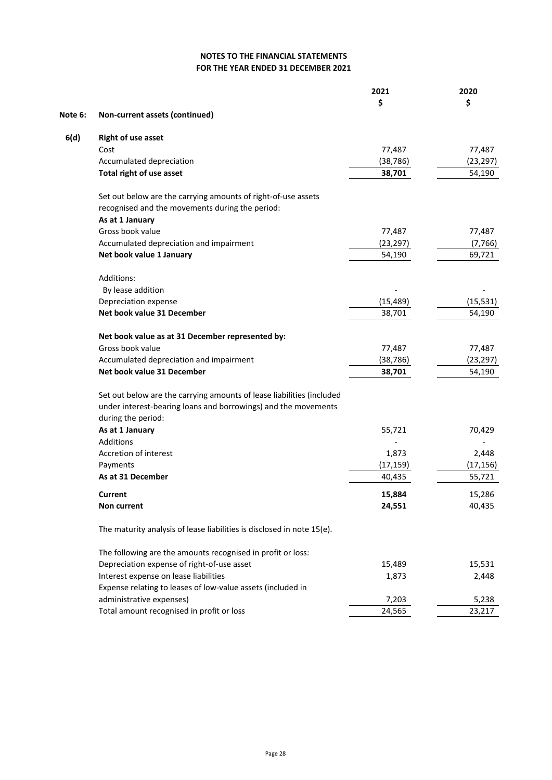|         |                                                                        | 2021      | 2020      |
|---------|------------------------------------------------------------------------|-----------|-----------|
|         |                                                                        | \$        | \$        |
| Note 6: | Non-current assets (continued)                                         |           |           |
| 6(d)    | <b>Right of use asset</b>                                              |           |           |
|         | Cost                                                                   | 77,487    | 77,487    |
|         | Accumulated depreciation                                               | (38, 786) | (23, 297) |
|         | Total right of use asset                                               | 38,701    | 54,190    |
|         | Set out below are the carrying amounts of right-of-use assets          |           |           |
|         | recognised and the movements during the period:                        |           |           |
|         | As at 1 January                                                        |           |           |
|         | Gross book value                                                       | 77,487    | 77,487    |
|         | Accumulated depreciation and impairment                                | (23, 297) | (7, 766)  |
|         | Net book value 1 January                                               | 54,190    | 69,721    |
|         | Additions:                                                             |           |           |
|         | By lease addition                                                      |           |           |
|         | Depreciation expense                                                   | (15, 489) | (15, 531) |
|         | Net book value 31 December                                             | 38,701    | 54,190    |
|         | Net book value as at 31 December represented by:                       |           |           |
|         | Gross book value                                                       | 77,487    | 77,487    |
|         | Accumulated depreciation and impairment                                | (38, 786) | (23, 297) |
|         | Net book value 31 December                                             | 38,701    | 54,190    |
|         | Set out below are the carrying amounts of lease liabilities (included  |           |           |
|         | under interest-bearing loans and borrowings) and the movements         |           |           |
|         | during the period:                                                     |           |           |
|         | As at 1 January                                                        | 55,721    | 70,429    |
|         | Additions                                                              |           |           |
|         | Accretion of interest                                                  | 1,873     | 2,448     |
|         | Payments                                                               | (17, 159) | (17, 156) |
|         | As at 31 December                                                      | 40,435    | 55,721    |
|         | Current                                                                | 15,884    | 15,286    |
|         | Non current                                                            | 24,551    | 40,435    |
|         | The maturity analysis of lease liabilities is disclosed in note 15(e). |           |           |
|         | The following are the amounts recognised in profit or loss:            |           |           |
|         | Depreciation expense of right-of-use asset                             | 15,489    | 15,531    |
|         | Interest expense on lease liabilities                                  | 1,873     | 2,448     |
|         | Expense relating to leases of low-value assets (included in            |           |           |
|         | administrative expenses)                                               | 7,203     | 5,238     |
|         | Total amount recognised in profit or loss                              | 24,565    | 23,217    |
|         |                                                                        |           |           |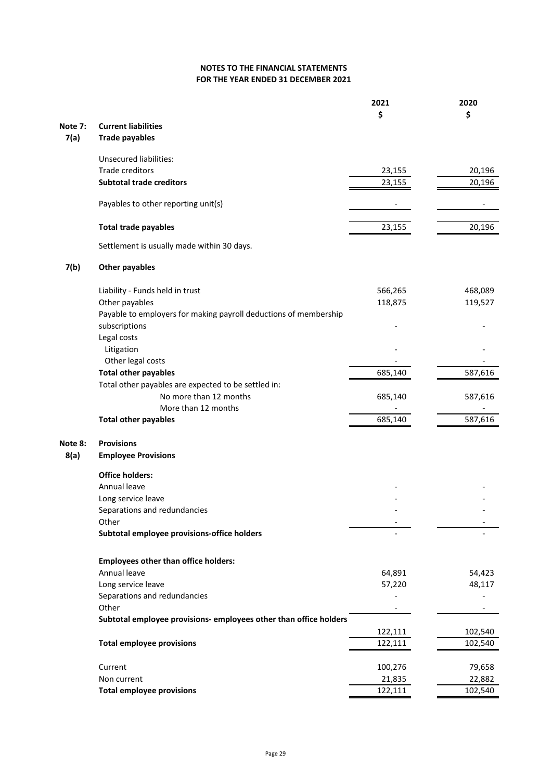| \$<br>\$<br><b>Current liabilities</b><br>Note 7:<br>7(a)<br><b>Trade payables</b><br><b>Unsecured liabilities:</b><br>Trade creditors<br>20,196<br>23,155<br><b>Subtotal trade creditors</b><br>23,155<br>20,196<br>Payables to other reporting unit(s)<br><b>Total trade payables</b><br>23,155<br>20,196<br>Settlement is usually made within 30 days.<br>7(b)<br><b>Other payables</b><br>566,265<br>468,089<br>Liability - Funds held in trust<br>Other payables<br>118,875<br>119,527<br>Payable to employers for making payroll deductions of membership<br>subscriptions<br>Legal costs<br>Litigation<br>Other legal costs<br><b>Total other payables</b><br>685,140<br>587,616<br>Total other payables are expected to be settled in:<br>No more than 12 months<br>685,140<br>587,616<br>More than 12 months<br>685,140<br>587,616<br><b>Total other payables</b><br><b>Provisions</b><br>Note 8:<br>8(a)<br><b>Employee Provisions</b><br><b>Office holders:</b><br>Annual leave<br>Long service leave<br>Separations and redundancies<br>Other<br>Subtotal employee provisions-office holders<br><b>Employees other than office holders:</b><br>Annual leave<br>64,891<br>54,423<br>Long service leave<br>57,220<br>48,117<br>Separations and redundancies<br>Other<br>Subtotal employee provisions- employees other than office holders<br>122,111<br>102,540<br><b>Total employee provisions</b><br>122,111<br>102,540<br>Current<br>100,276<br>79,658<br>Non current<br>21,835<br>22,882<br><b>Total employee provisions</b><br>122,111<br>102,540 |  | 2021 | 2020 |
|------------------------------------------------------------------------------------------------------------------------------------------------------------------------------------------------------------------------------------------------------------------------------------------------------------------------------------------------------------------------------------------------------------------------------------------------------------------------------------------------------------------------------------------------------------------------------------------------------------------------------------------------------------------------------------------------------------------------------------------------------------------------------------------------------------------------------------------------------------------------------------------------------------------------------------------------------------------------------------------------------------------------------------------------------------------------------------------------------------------------------------------------------------------------------------------------------------------------------------------------------------------------------------------------------------------------------------------------------------------------------------------------------------------------------------------------------------------------------------------------------------------------------------------------------------------|--|------|------|
|                                                                                                                                                                                                                                                                                                                                                                                                                                                                                                                                                                                                                                                                                                                                                                                                                                                                                                                                                                                                                                                                                                                                                                                                                                                                                                                                                                                                                                                                                                                                                                  |  |      |      |
|                                                                                                                                                                                                                                                                                                                                                                                                                                                                                                                                                                                                                                                                                                                                                                                                                                                                                                                                                                                                                                                                                                                                                                                                                                                                                                                                                                                                                                                                                                                                                                  |  |      |      |
|                                                                                                                                                                                                                                                                                                                                                                                                                                                                                                                                                                                                                                                                                                                                                                                                                                                                                                                                                                                                                                                                                                                                                                                                                                                                                                                                                                                                                                                                                                                                                                  |  |      |      |
|                                                                                                                                                                                                                                                                                                                                                                                                                                                                                                                                                                                                                                                                                                                                                                                                                                                                                                                                                                                                                                                                                                                                                                                                                                                                                                                                                                                                                                                                                                                                                                  |  |      |      |
|                                                                                                                                                                                                                                                                                                                                                                                                                                                                                                                                                                                                                                                                                                                                                                                                                                                                                                                                                                                                                                                                                                                                                                                                                                                                                                                                                                                                                                                                                                                                                                  |  |      |      |
|                                                                                                                                                                                                                                                                                                                                                                                                                                                                                                                                                                                                                                                                                                                                                                                                                                                                                                                                                                                                                                                                                                                                                                                                                                                                                                                                                                                                                                                                                                                                                                  |  |      |      |
|                                                                                                                                                                                                                                                                                                                                                                                                                                                                                                                                                                                                                                                                                                                                                                                                                                                                                                                                                                                                                                                                                                                                                                                                                                                                                                                                                                                                                                                                                                                                                                  |  |      |      |
|                                                                                                                                                                                                                                                                                                                                                                                                                                                                                                                                                                                                                                                                                                                                                                                                                                                                                                                                                                                                                                                                                                                                                                                                                                                                                                                                                                                                                                                                                                                                                                  |  |      |      |
|                                                                                                                                                                                                                                                                                                                                                                                                                                                                                                                                                                                                                                                                                                                                                                                                                                                                                                                                                                                                                                                                                                                                                                                                                                                                                                                                                                                                                                                                                                                                                                  |  |      |      |
|                                                                                                                                                                                                                                                                                                                                                                                                                                                                                                                                                                                                                                                                                                                                                                                                                                                                                                                                                                                                                                                                                                                                                                                                                                                                                                                                                                                                                                                                                                                                                                  |  |      |      |
|                                                                                                                                                                                                                                                                                                                                                                                                                                                                                                                                                                                                                                                                                                                                                                                                                                                                                                                                                                                                                                                                                                                                                                                                                                                                                                                                                                                                                                                                                                                                                                  |  |      |      |
|                                                                                                                                                                                                                                                                                                                                                                                                                                                                                                                                                                                                                                                                                                                                                                                                                                                                                                                                                                                                                                                                                                                                                                                                                                                                                                                                                                                                                                                                                                                                                                  |  |      |      |
|                                                                                                                                                                                                                                                                                                                                                                                                                                                                                                                                                                                                                                                                                                                                                                                                                                                                                                                                                                                                                                                                                                                                                                                                                                                                                                                                                                                                                                                                                                                                                                  |  |      |      |
|                                                                                                                                                                                                                                                                                                                                                                                                                                                                                                                                                                                                                                                                                                                                                                                                                                                                                                                                                                                                                                                                                                                                                                                                                                                                                                                                                                                                                                                                                                                                                                  |  |      |      |
|                                                                                                                                                                                                                                                                                                                                                                                                                                                                                                                                                                                                                                                                                                                                                                                                                                                                                                                                                                                                                                                                                                                                                                                                                                                                                                                                                                                                                                                                                                                                                                  |  |      |      |
|                                                                                                                                                                                                                                                                                                                                                                                                                                                                                                                                                                                                                                                                                                                                                                                                                                                                                                                                                                                                                                                                                                                                                                                                                                                                                                                                                                                                                                                                                                                                                                  |  |      |      |
|                                                                                                                                                                                                                                                                                                                                                                                                                                                                                                                                                                                                                                                                                                                                                                                                                                                                                                                                                                                                                                                                                                                                                                                                                                                                                                                                                                                                                                                                                                                                                                  |  |      |      |
|                                                                                                                                                                                                                                                                                                                                                                                                                                                                                                                                                                                                                                                                                                                                                                                                                                                                                                                                                                                                                                                                                                                                                                                                                                                                                                                                                                                                                                                                                                                                                                  |  |      |      |
|                                                                                                                                                                                                                                                                                                                                                                                                                                                                                                                                                                                                                                                                                                                                                                                                                                                                                                                                                                                                                                                                                                                                                                                                                                                                                                                                                                                                                                                                                                                                                                  |  |      |      |
|                                                                                                                                                                                                                                                                                                                                                                                                                                                                                                                                                                                                                                                                                                                                                                                                                                                                                                                                                                                                                                                                                                                                                                                                                                                                                                                                                                                                                                                                                                                                                                  |  |      |      |
|                                                                                                                                                                                                                                                                                                                                                                                                                                                                                                                                                                                                                                                                                                                                                                                                                                                                                                                                                                                                                                                                                                                                                                                                                                                                                                                                                                                                                                                                                                                                                                  |  |      |      |
|                                                                                                                                                                                                                                                                                                                                                                                                                                                                                                                                                                                                                                                                                                                                                                                                                                                                                                                                                                                                                                                                                                                                                                                                                                                                                                                                                                                                                                                                                                                                                                  |  |      |      |
|                                                                                                                                                                                                                                                                                                                                                                                                                                                                                                                                                                                                                                                                                                                                                                                                                                                                                                                                                                                                                                                                                                                                                                                                                                                                                                                                                                                                                                                                                                                                                                  |  |      |      |
|                                                                                                                                                                                                                                                                                                                                                                                                                                                                                                                                                                                                                                                                                                                                                                                                                                                                                                                                                                                                                                                                                                                                                                                                                                                                                                                                                                                                                                                                                                                                                                  |  |      |      |
|                                                                                                                                                                                                                                                                                                                                                                                                                                                                                                                                                                                                                                                                                                                                                                                                                                                                                                                                                                                                                                                                                                                                                                                                                                                                                                                                                                                                                                                                                                                                                                  |  |      |      |
|                                                                                                                                                                                                                                                                                                                                                                                                                                                                                                                                                                                                                                                                                                                                                                                                                                                                                                                                                                                                                                                                                                                                                                                                                                                                                                                                                                                                                                                                                                                                                                  |  |      |      |
|                                                                                                                                                                                                                                                                                                                                                                                                                                                                                                                                                                                                                                                                                                                                                                                                                                                                                                                                                                                                                                                                                                                                                                                                                                                                                                                                                                                                                                                                                                                                                                  |  |      |      |
|                                                                                                                                                                                                                                                                                                                                                                                                                                                                                                                                                                                                                                                                                                                                                                                                                                                                                                                                                                                                                                                                                                                                                                                                                                                                                                                                                                                                                                                                                                                                                                  |  |      |      |
|                                                                                                                                                                                                                                                                                                                                                                                                                                                                                                                                                                                                                                                                                                                                                                                                                                                                                                                                                                                                                                                                                                                                                                                                                                                                                                                                                                                                                                                                                                                                                                  |  |      |      |
|                                                                                                                                                                                                                                                                                                                                                                                                                                                                                                                                                                                                                                                                                                                                                                                                                                                                                                                                                                                                                                                                                                                                                                                                                                                                                                                                                                                                                                                                                                                                                                  |  |      |      |
|                                                                                                                                                                                                                                                                                                                                                                                                                                                                                                                                                                                                                                                                                                                                                                                                                                                                                                                                                                                                                                                                                                                                                                                                                                                                                                                                                                                                                                                                                                                                                                  |  |      |      |
|                                                                                                                                                                                                                                                                                                                                                                                                                                                                                                                                                                                                                                                                                                                                                                                                                                                                                                                                                                                                                                                                                                                                                                                                                                                                                                                                                                                                                                                                                                                                                                  |  |      |      |
|                                                                                                                                                                                                                                                                                                                                                                                                                                                                                                                                                                                                                                                                                                                                                                                                                                                                                                                                                                                                                                                                                                                                                                                                                                                                                                                                                                                                                                                                                                                                                                  |  |      |      |
|                                                                                                                                                                                                                                                                                                                                                                                                                                                                                                                                                                                                                                                                                                                                                                                                                                                                                                                                                                                                                                                                                                                                                                                                                                                                                                                                                                                                                                                                                                                                                                  |  |      |      |
|                                                                                                                                                                                                                                                                                                                                                                                                                                                                                                                                                                                                                                                                                                                                                                                                                                                                                                                                                                                                                                                                                                                                                                                                                                                                                                                                                                                                                                                                                                                                                                  |  |      |      |
|                                                                                                                                                                                                                                                                                                                                                                                                                                                                                                                                                                                                                                                                                                                                                                                                                                                                                                                                                                                                                                                                                                                                                                                                                                                                                                                                                                                                                                                                                                                                                                  |  |      |      |
|                                                                                                                                                                                                                                                                                                                                                                                                                                                                                                                                                                                                                                                                                                                                                                                                                                                                                                                                                                                                                                                                                                                                                                                                                                                                                                                                                                                                                                                                                                                                                                  |  |      |      |
|                                                                                                                                                                                                                                                                                                                                                                                                                                                                                                                                                                                                                                                                                                                                                                                                                                                                                                                                                                                                                                                                                                                                                                                                                                                                                                                                                                                                                                                                                                                                                                  |  |      |      |
|                                                                                                                                                                                                                                                                                                                                                                                                                                                                                                                                                                                                                                                                                                                                                                                                                                                                                                                                                                                                                                                                                                                                                                                                                                                                                                                                                                                                                                                                                                                                                                  |  |      |      |
|                                                                                                                                                                                                                                                                                                                                                                                                                                                                                                                                                                                                                                                                                                                                                                                                                                                                                                                                                                                                                                                                                                                                                                                                                                                                                                                                                                                                                                                                                                                                                                  |  |      |      |
|                                                                                                                                                                                                                                                                                                                                                                                                                                                                                                                                                                                                                                                                                                                                                                                                                                                                                                                                                                                                                                                                                                                                                                                                                                                                                                                                                                                                                                                                                                                                                                  |  |      |      |
|                                                                                                                                                                                                                                                                                                                                                                                                                                                                                                                                                                                                                                                                                                                                                                                                                                                                                                                                                                                                                                                                                                                                                                                                                                                                                                                                                                                                                                                                                                                                                                  |  |      |      |
|                                                                                                                                                                                                                                                                                                                                                                                                                                                                                                                                                                                                                                                                                                                                                                                                                                                                                                                                                                                                                                                                                                                                                                                                                                                                                                                                                                                                                                                                                                                                                                  |  |      |      |
|                                                                                                                                                                                                                                                                                                                                                                                                                                                                                                                                                                                                                                                                                                                                                                                                                                                                                                                                                                                                                                                                                                                                                                                                                                                                                                                                                                                                                                                                                                                                                                  |  |      |      |
|                                                                                                                                                                                                                                                                                                                                                                                                                                                                                                                                                                                                                                                                                                                                                                                                                                                                                                                                                                                                                                                                                                                                                                                                                                                                                                                                                                                                                                                                                                                                                                  |  |      |      |
|                                                                                                                                                                                                                                                                                                                                                                                                                                                                                                                                                                                                                                                                                                                                                                                                                                                                                                                                                                                                                                                                                                                                                                                                                                                                                                                                                                                                                                                                                                                                                                  |  |      |      |
|                                                                                                                                                                                                                                                                                                                                                                                                                                                                                                                                                                                                                                                                                                                                                                                                                                                                                                                                                                                                                                                                                                                                                                                                                                                                                                                                                                                                                                                                                                                                                                  |  |      |      |
|                                                                                                                                                                                                                                                                                                                                                                                                                                                                                                                                                                                                                                                                                                                                                                                                                                                                                                                                                                                                                                                                                                                                                                                                                                                                                                                                                                                                                                                                                                                                                                  |  |      |      |
|                                                                                                                                                                                                                                                                                                                                                                                                                                                                                                                                                                                                                                                                                                                                                                                                                                                                                                                                                                                                                                                                                                                                                                                                                                                                                                                                                                                                                                                                                                                                                                  |  |      |      |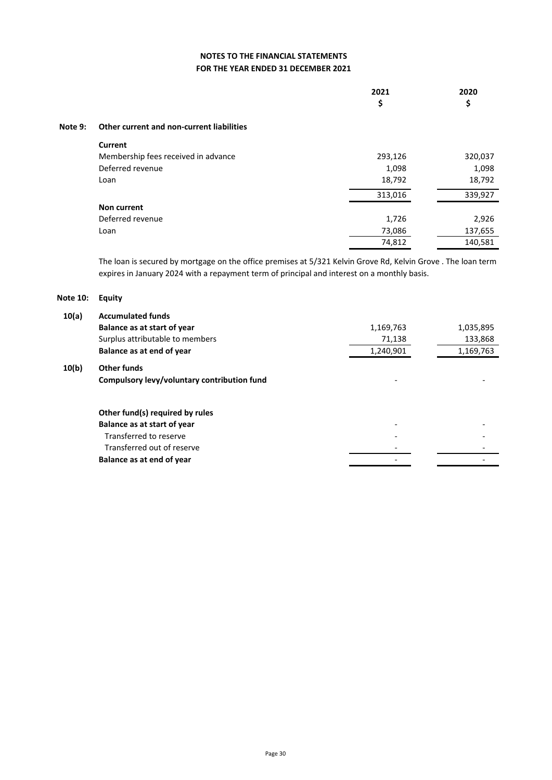|         |                                           | 2021<br>\$ | 2020<br>\$ |
|---------|-------------------------------------------|------------|------------|
| Note 9: | Other current and non-current liabilities |            |            |
|         | Current                                   |            |            |
|         | Membership fees received in advance       | 293,126    | 320,037    |
|         | Deferred revenue                          | 1,098      | 1,098      |
|         | Loan                                      | 18,792     | 18,792     |
|         |                                           | 313,016    | 339,927    |
|         | Non current                               |            |            |
|         | Deferred revenue                          | 1,726      | 2,926      |
|         | Loan                                      | 73,086     | 137,655    |
|         |                                           | 74,812     | 140,581    |
|         |                                           |            |            |

The loan is secured by mortgage on the office premises at 5/321 Kelvin Grove Rd, Kelvin Grove . The loan term expires in January 2024 with a repayment term of principal and interest on a monthly basis.

#### **Note 10: Equity**

| 10(a) | <b>Accumulated funds</b>                    |           |           |
|-------|---------------------------------------------|-----------|-----------|
|       | Balance as at start of year                 | 1,169,763 | 1,035,895 |
|       | Surplus attributable to members             | 71,138    | 133,868   |
|       | Balance as at end of year                   | 1,240,901 | 1,169,763 |
| 10(b) | Other funds                                 |           |           |
|       | Compulsory levy/voluntary contribution fund |           |           |
|       | Other fund(s) required by rules             |           |           |
|       | Balance as at start of year                 |           |           |
|       | Transferred to reserve                      |           |           |
|       | Transferred out of reserve                  |           |           |
|       | Balance as at end of year                   |           |           |
|       |                                             |           |           |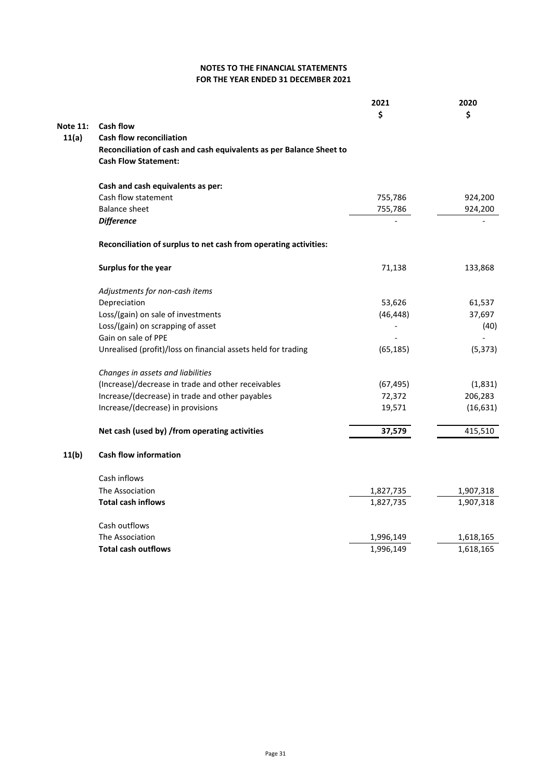|                 |                                                                                                    | 2021<br>\$ | 2020<br>\$ |
|-----------------|----------------------------------------------------------------------------------------------------|------------|------------|
| <b>Note 11:</b> | <b>Cash flow</b>                                                                                   |            |            |
| 11(a)           | <b>Cash flow reconciliation</b>                                                                    |            |            |
|                 | Reconciliation of cash and cash equivalents as per Balance Sheet to<br><b>Cash Flow Statement:</b> |            |            |
|                 | Cash and cash equivalents as per:                                                                  |            |            |
|                 | Cash flow statement                                                                                | 755,786    | 924,200    |
|                 | <b>Balance sheet</b>                                                                               | 755,786    | 924,200    |
|                 | <b>Difference</b>                                                                                  |            |            |
|                 | Reconciliation of surplus to net cash from operating activities:                                   |            |            |
|                 | Surplus for the year                                                                               | 71,138     | 133,868    |
|                 | Adjustments for non-cash items                                                                     |            |            |
|                 | Depreciation                                                                                       | 53,626     | 61,537     |
|                 | Loss/(gain) on sale of investments                                                                 | (46, 448)  | 37,697     |
|                 | Loss/(gain) on scrapping of asset                                                                  |            | (40)       |
|                 | Gain on sale of PPE                                                                                |            |            |
|                 | Unrealised (profit)/loss on financial assets held for trading                                      | (65, 185)  | (5, 373)   |
|                 | Changes in assets and liabilities                                                                  |            |            |
|                 | (Increase)/decrease in trade and other receivables                                                 | (67, 495)  | (1,831)    |
|                 | Increase/(decrease) in trade and other payables                                                    | 72,372     | 206,283    |
|                 | Increase/(decrease) in provisions                                                                  | 19,571     | (16, 631)  |
|                 | Net cash (used by) /from operating activities                                                      | 37,579     | 415,510    |
| 11(b)           | <b>Cash flow information</b>                                                                       |            |            |
|                 | Cash inflows                                                                                       |            |            |
|                 | The Association                                                                                    | 1,827,735  | 1,907,318  |
|                 | <b>Total cash inflows</b>                                                                          | 1,827,735  | 1,907,318  |
|                 | Cash outflows                                                                                      |            |            |
|                 | The Association                                                                                    | 1,996,149  | 1,618,165  |
|                 | <b>Total cash outflows</b>                                                                         | 1,996,149  | 1,618,165  |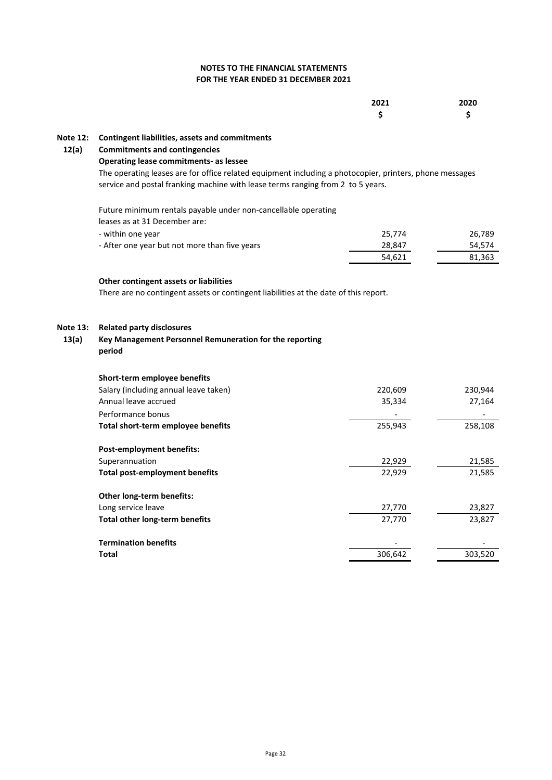### **FOR THE YEAR ENDED 31 DECEMBER 2021 NOTES TO THE FINANCIAL STATEMENTS**

|                   |                                                                                                                                                          | 2021<br>Ś | 2020<br>Ś |
|-------------------|----------------------------------------------------------------------------------------------------------------------------------------------------------|-----------|-----------|
| <b>Note 12:</b>   | Contingent liabilities, assets and commitments                                                                                                           |           |           |
| 12(a)             | <b>Commitments and contingencies</b>                                                                                                                     |           |           |
|                   | <b>Operating lease commitments- as lessee</b><br>The operating leases are for office related equipment including a photocopier, printers, phone messages |           |           |
|                   | service and postal franking machine with lease terms ranging from 2 to 5 years.                                                                          |           |           |
|                   | Future minimum rentals payable under non-cancellable operating<br>leases as at 31 December are:                                                          |           |           |
|                   | - within one year                                                                                                                                        | 25,774    | 26,789    |
|                   | - After one year but not more than five years                                                                                                            | 28,847    | 54,574    |
|                   |                                                                                                                                                          | 54,621    | 81,363    |
|                   | Other contingent assets or liabilities<br>There are no contingent assets or contingent liabilities at the date of this report.                           |           |           |
| Note 13:<br>13(a) | <b>Related party disclosures</b><br>Key Management Personnel Remuneration for the reporting<br>period                                                    |           |           |
|                   | Short-term employee benefits                                                                                                                             |           |           |
|                   | Salary (including annual leave taken)                                                                                                                    | 220,609   | 230,944   |
|                   | Annual leave accrued                                                                                                                                     | 35,334    | 27,164    |
|                   | Performance bonus                                                                                                                                        |           |           |
|                   | Total short-term employee benefits                                                                                                                       | 255,943   |           |
|                   |                                                                                                                                                          |           | 258,108   |
|                   | Post-employment benefits:                                                                                                                                |           |           |
|                   | Superannuation                                                                                                                                           | 22,929    | 21,585    |
|                   | <b>Total post-employment benefits</b>                                                                                                                    | 22,929    | 21,585    |
|                   | Other long-term benefits:                                                                                                                                |           |           |
|                   | Long service leave                                                                                                                                       | 27,770    | 23,827    |
|                   | Total other long-term benefits                                                                                                                           | 27,770    | 23,827    |
|                   | <b>Termination benefits</b>                                                                                                                              |           | 303,520   |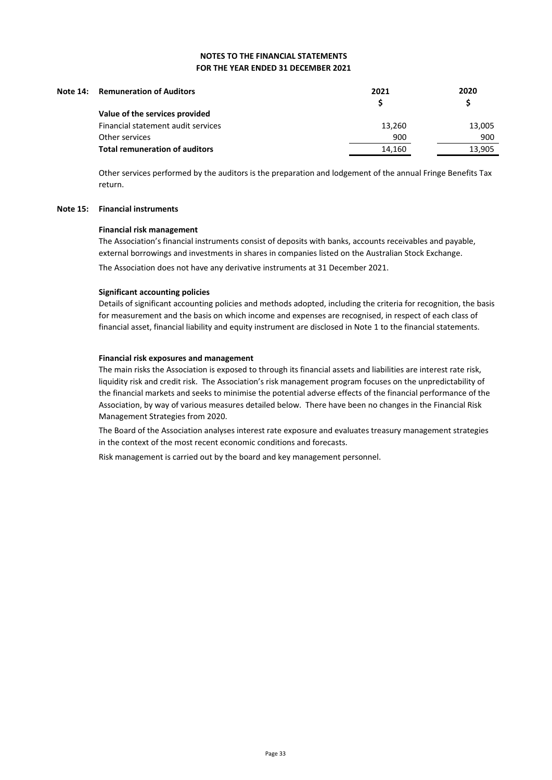| 2020   |
|--------|
|        |
| 13,005 |
| 900    |
| 13.905 |
|        |

Other services performed by the auditors is the preparation and lodgement of the annual Fringe Benefits Tax return.

#### **Note 15: Financial instruments**

#### **Financial risk management**

The Association's financial instruments consist of deposits with banks, accounts receivables and payable, external borrowings and investments in shares in companies listed on the Australian Stock Exchange.

The Association does not have any derivative instruments at 31 December 2021.

#### **Significant accounting policies**

Details of significant accounting policies and methods adopted, including the criteria for recognition, the basis for measurement and the basis on which income and expenses are recognised, in respect of each class of financial asset, financial liability and equity instrument are disclosed in Note 1 to the financial statements.

#### **Financial risk exposures and management**

The main risks the Association is exposed to through its financial assets and liabilities are interest rate risk, liquidity risk and credit risk. The Association's risk management program focuses on the unpredictability of the financial markets and seeks to minimise the potential adverse effects of the financial performance of the Association, by way of various measures detailed below. There have been no changes in the Financial Risk Management Strategies from 2020.

The Board of the Association analyses interest rate exposure and evaluates treasury management strategies in the context of the most recent economic conditions and forecasts.

Risk management is carried out by the board and key management personnel.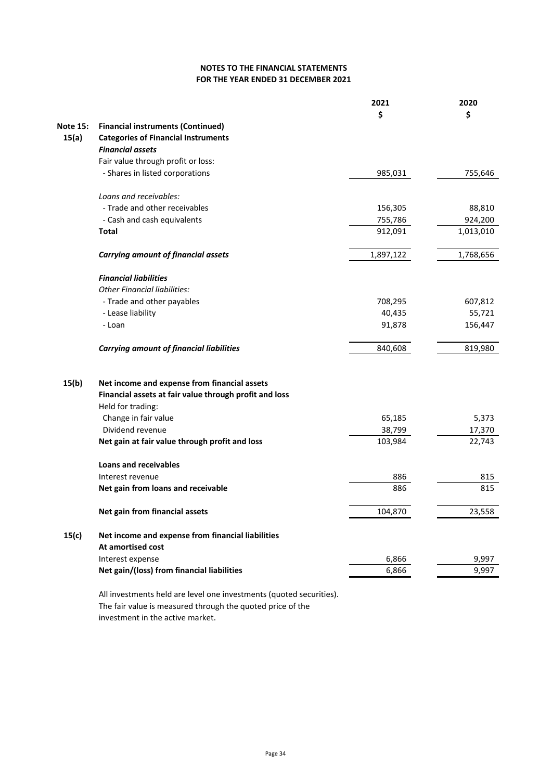### **FOR THE YEAR ENDED 31 DECEMBER 2021 NOTES TO THE FINANCIAL STATEMENTS**

|                 |                                                                    | 2021<br>\$        | 2020<br>\$       |
|-----------------|--------------------------------------------------------------------|-------------------|------------------|
| <b>Note 15:</b> | <b>Financial instruments (Continued)</b>                           |                   |                  |
| 15(a)           | <b>Categories of Financial Instruments</b>                         |                   |                  |
|                 | <b>Financial assets</b>                                            |                   |                  |
|                 | Fair value through profit or loss:                                 |                   |                  |
|                 | - Shares in listed corporations                                    | 985,031           | 755,646          |
|                 | Loans and receivables:                                             |                   |                  |
|                 | - Trade and other receivables                                      | 156,305           | 88,810           |
|                 | - Cash and cash equivalents                                        | 755,786           | 924,200          |
|                 | <b>Total</b>                                                       | 912,091           | 1,013,010        |
|                 |                                                                    |                   |                  |
|                 | <b>Carrying amount of financial assets</b>                         | 1,897,122         | 1,768,656        |
|                 | <b>Financial liabilities</b>                                       |                   |                  |
|                 | <b>Other Financial liabilities:</b>                                |                   |                  |
|                 | - Trade and other payables                                         | 708,295           | 607,812          |
|                 | - Lease liability                                                  | 40,435            | 55,721           |
|                 | - Loan                                                             | 91,878            | 156,447          |
|                 | <b>Carrying amount of financial liabilities</b>                    | 840,608           | 819,980          |
|                 |                                                                    |                   |                  |
| 15(b)           | Net income and expense from financial assets                       |                   |                  |
|                 | Financial assets at fair value through profit and loss             |                   |                  |
|                 | Held for trading:                                                  |                   |                  |
|                 | Change in fair value                                               | 65,185            | 5,373            |
|                 | Dividend revenue<br>Net gain at fair value through profit and loss | 38,799<br>103,984 | 17,370<br>22,743 |
|                 |                                                                    |                   |                  |
|                 | <b>Loans and receivables</b>                                       |                   |                  |
|                 | Interest revenue                                                   | 886               | 815              |
|                 | Net gain from loans and receivable                                 | 886               | 815              |
|                 | Net gain from financial assets                                     | 104,870           | 23,558           |
| 15(c)           | Net income and expense from financial liabilities                  |                   |                  |
|                 | At amortised cost                                                  |                   |                  |
|                 | Interest expense                                                   | 6,866             | 9,997            |
|                 | Net gain/(loss) from financial liabilities                         | 6,866             | 9,997            |
|                 |                                                                    |                   |                  |

All investments held are level one investments (quoted securities). The fair value is measured through the quoted price of the investment in the active market.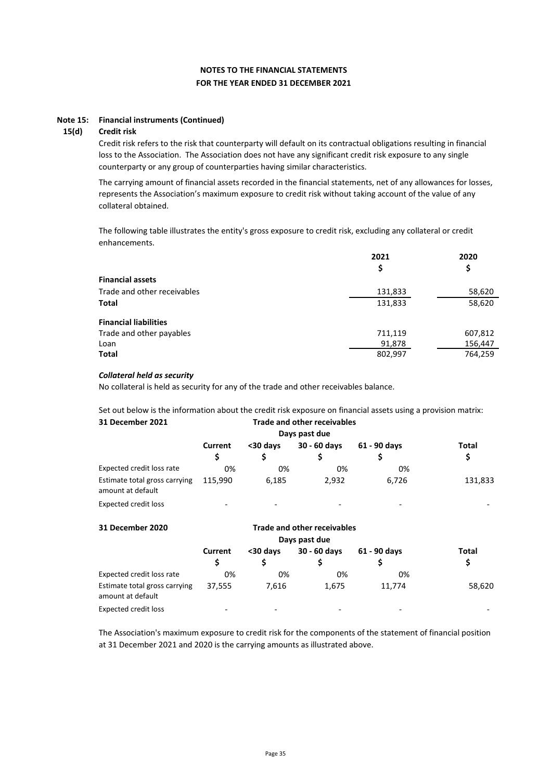#### **Note 15: Financial instruments (Continued)**

#### **15(d) Credit risk**

Credit risk refers to the risk that counterparty will default on its contractual obligations resulting in financial loss to the Association. The Association does not have any significant credit risk exposure to any single counterparty or any group of counterparties having similar characteristics.

The carrying amount of financial assets recorded in the financial statements, net of any allowances for losses, represents the Association's maximum exposure to credit risk without taking account of the value of any collateral obtained.

The following table illustrates the entity's gross exposure to credit risk, excluding any collateral or credit enhancements.

|                              | 2021    | 2020    |  |
|------------------------------|---------|---------|--|
|                              | Ş       | \$      |  |
| <b>Financial assets</b>      |         |         |  |
| Trade and other receivables  | 131,833 | 58,620  |  |
| Total                        | 131,833 | 58,620  |  |
| <b>Financial liabilities</b> |         |         |  |
| Trade and other payables     | 711,119 | 607,812 |  |
| Loan                         | 91,878  | 156,447 |  |
| <b>Total</b>                 | 802,997 | 764,259 |  |

#### *Collateral held as security*

No collateral is held as security for any of the trade and other receivables balance.

**31 December 2021** Set out below is the information about the credit risk exposure on financial assets using a provision matrix: **Trade and other receivables**

| Days past due                                      |                          |                                          |       |       |         |  |  |
|----------------------------------------------------|--------------------------|------------------------------------------|-------|-------|---------|--|--|
|                                                    | Current                  | 30 - 60 days<br>61 - 90 days<br><30 days |       |       |         |  |  |
|                                                    |                          |                                          |       |       | S       |  |  |
| Expected credit loss rate                          | 0%                       | 0%                                       | 0%    | 0%    |         |  |  |
| Estimate total gross carrying<br>amount at default | 115.990                  | 6,185                                    | 2.932 | 6.726 | 131,833 |  |  |
| <b>Expected credit loss</b>                        | $\overline{\phantom{a}}$ |                                          |       |       |         |  |  |

| 31 December 2020                                   |         |                          |                          |                          |                          |
|----------------------------------------------------|---------|--------------------------|--------------------------|--------------------------|--------------------------|
|                                                    |         |                          |                          |                          |                          |
|                                                    | Current | <30 days                 | 30 - 60 days             | 61 - 90 days             | Total<br>\$              |
|                                                    | S       |                          |                          |                          |                          |
| Expected credit loss rate                          | 0%      | 0%                       | 0%                       | 0%                       |                          |
| Estimate total gross carrying<br>amount at default | 37.555  | 7,616                    | 1,675                    | 11.774                   | 58,620                   |
| <b>Expected credit loss</b>                        |         | $\overline{\phantom{0}}$ | $\overline{\phantom{a}}$ | $\overline{\phantom{0}}$ | $\overline{\phantom{a}}$ |

The Association's maximum exposure to credit risk for the components of the statement of financial position at 31 December 2021 and 2020 is the carrying amounts as illustrated above.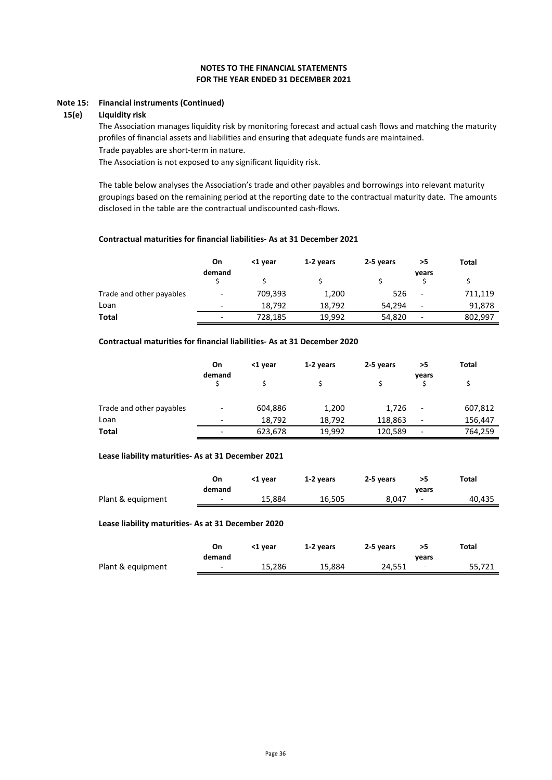#### **Note 15: Financial instruments (Continued)**

#### **15(e) Liquidity risk**

Trade payables are short-term in nature. The Association manages liquidity risk by monitoring forecast and actual cash flows and matching the maturity profiles of financial assets and liabilities and ensuring that adequate funds are maintained.

The Association is not exposed to any significant liquidity risk.

The table below analyses the Association's trade and other payables and borrowings into relevant maturity groupings based on the remaining period at the reporting date to the contractual maturity date. The amounts disclosed in the table are the contractual undiscounted cash-flows.

#### **Contractual maturities for financial liabilities- As at 31 December 2021**

|                          | On<br>demand             | <1 vear | 1-2 years | 2-5 years | >5<br>years                  | Total   |
|--------------------------|--------------------------|---------|-----------|-----------|------------------------------|---------|
|                          |                          |         |           |           |                              |         |
| Trade and other payables | $\overline{\phantom{0}}$ | 709,393 | 1,200     | 526       | $\qquad \qquad \blacksquare$ | 711,119 |
| Loan                     | -                        | 18.792  | 18,792    | 54.294    | $\overline{\phantom{a}}$     | 91,878  |
| Total                    | $\overline{\phantom{0}}$ | 728,185 | 19.992    | 54,820    | $\overline{\phantom{a}}$     | 802,997 |

### **Contractual maturities for financial liabilities- As at 31 December 2020**

|                          | On                       | <1 year | 1-2 years | 2-5 years | >5                           | Total   |
|--------------------------|--------------------------|---------|-----------|-----------|------------------------------|---------|
|                          | demand                   |         |           |           | vears                        |         |
| Trade and other payables | $\overline{\phantom{0}}$ | 604,886 | 1,200     | 1,726     | $\qquad \qquad \blacksquare$ | 607,812 |
| Loan                     | $\overline{\phantom{0}}$ | 18,792  | 18,792    | 118,863   | $\overline{\phantom{a}}$     | 156,447 |
| Total                    | $\overline{\phantom{0}}$ | 623,678 | 19,992    | 120,589   | $\overline{\phantom{a}}$     | 764,259 |

#### **Lease liability maturities- As at 31 December 2021**

|                   | On<br>demand             | <1 vear | 1-2 years | 2-5 vears | vears                    | Total  |
|-------------------|--------------------------|---------|-----------|-----------|--------------------------|--------|
| Plant & equipment | $\overline{\phantom{0}}$ | 15.884  | 16.505    | 8.047     | $\overline{\phantom{0}}$ | 40,435 |

#### **Lease liability maturities- As at 31 December 2020**

|                   | On<br>demand             | <1 vear | 1-2 years | 2-5 years | vears | Total  |
|-------------------|--------------------------|---------|-----------|-----------|-------|--------|
| Plant & equipment | $\overline{\phantom{0}}$ | 15.286  | 15.884    | 24.551    | -     | 55,721 |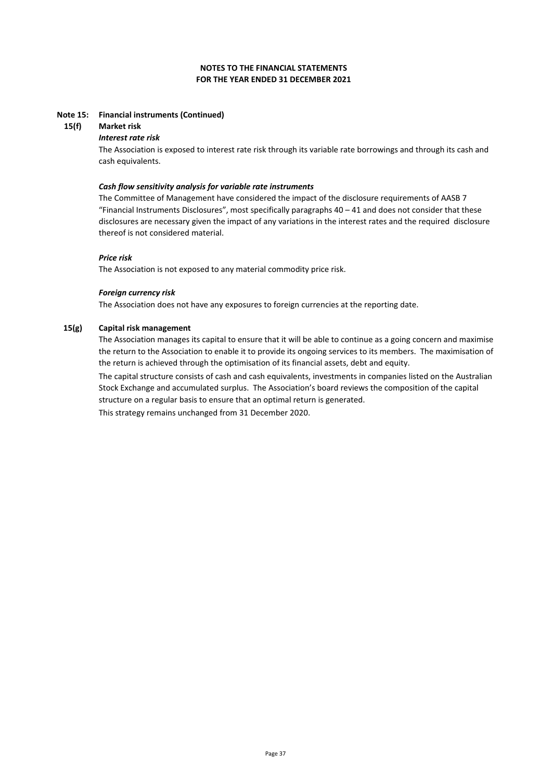#### **Note 15: Financial instruments (Continued)**

#### **15(f) Market risk**

#### *Interest rate risk*

The Association is exposed to interest rate risk through its variable rate borrowings and through its cash and cash equivalents.

#### *Cash flow sensitivity analysis for variable rate instruments*

The Committee of Management have considered the impact of the disclosure requirements of AASB 7 "Financial Instruments Disclosures", most specifically paragraphs 40 – 41 and does not consider that these disclosures are necessary given the impact of any variations in the interest rates and the required disclosure thereof is not considered material.

#### *Price risk*

The Association is not exposed to any material commodity price risk.

#### *Foreign currency risk*

The Association does not have any exposures to foreign currencies at the reporting date.

#### **15(g) Capital risk management**

The Association manages its capital to ensure that it will be able to continue as a going concern and maximise the return to the Association to enable it to provide its ongoing services to its members. The maximisation of the return is achieved through the optimisation of its financial assets, debt and equity.

The capital structure consists of cash and cash equivalents, investments in companies listed on the Australian Stock Exchange and accumulated surplus. The Association's board reviews the composition of the capital structure on a regular basis to ensure that an optimal return is generated.

This strategy remains unchanged from 31 December 2020.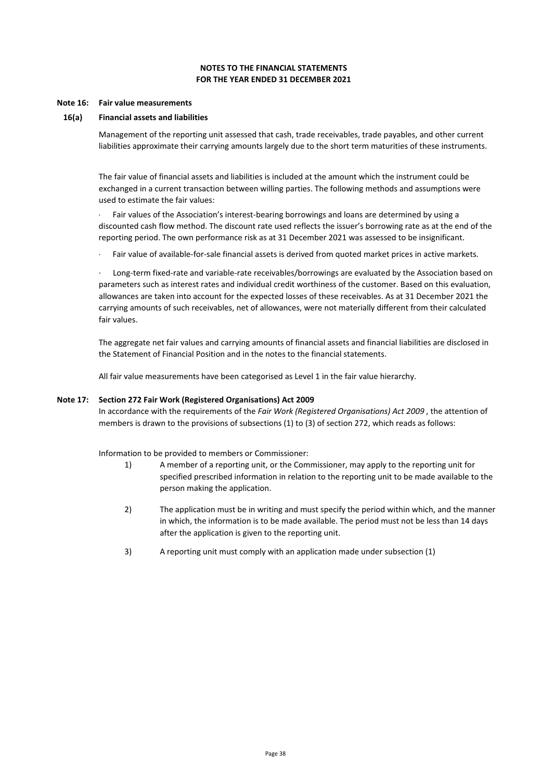#### **Note 16: Fair value measurements**

#### **16(a) Financial assets and liabilities**

Management of the reporting unit assessed that cash, trade receivables, trade payables, and other current liabilities approximate their carrying amounts largely due to the short term maturities of these instruments.

The fair value of financial assets and liabilities is included at the amount which the instrument could be exchanged in a current transaction between willing parties. The following methods and assumptions were used to estimate the fair values:

Fair values of the Association's interest-bearing borrowings and loans are determined by using a discounted cash flow method. The discount rate used reflects the issuer's borrowing rate as at the end of the reporting period. The own performance risk as at 31 December 2021 was assessed to be insignificant.

Fair value of available-for-sale financial assets is derived from quoted market prices in active markets.

Long-term fixed-rate and variable-rate receivables/borrowings are evaluated by the Association based on parameters such as interest rates and individual credit worthiness of the customer. Based on this evaluation, allowances are taken into account for the expected losses of these receivables. As at 31 December 2021 the carrying amounts of such receivables, net of allowances, were not materially different from their calculated fair values.

The aggregate net fair values and carrying amounts of financial assets and financial liabilities are disclosed in the Statement of Financial Position and in the notes to the financial statements.

All fair value measurements have been categorised as Level 1 in the fair value hierarchy.

#### **Note 17: Section 272 Fair Work (Registered Organisations) Act 2009**

In accordance with the requirements of the *Fair Work (Registered Organisations) Act 2009* , the attention of members is drawn to the provisions of subsections (1) to (3) of section 272, which reads as follows:

Information to be provided to members or Commissioner:

- 1) A member of a reporting unit, or the Commissioner, may apply to the reporting unit for specified prescribed information in relation to the reporting unit to be made available to the person making the application.
- 2) The application must be in writing and must specify the period within which, and the manner in which, the information is to be made available. The period must not be less than 14 days after the application is given to the reporting unit.
- 3) A reporting unit must comply with an application made under subsection (1)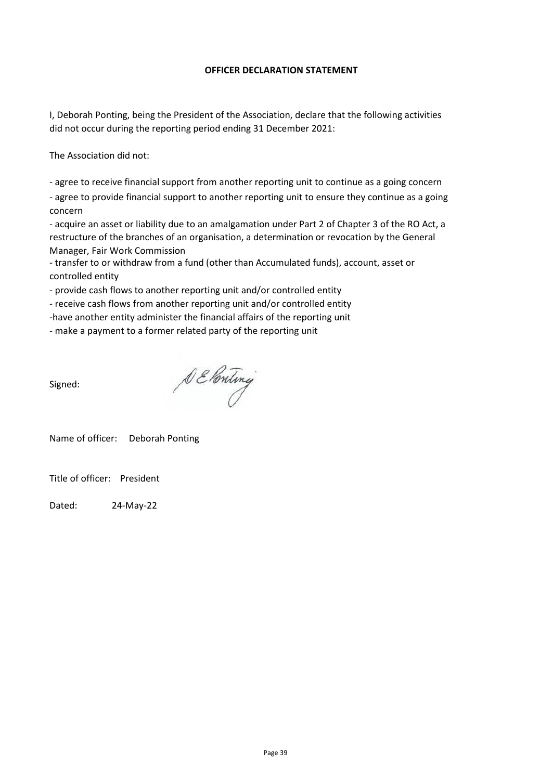### **OFFICER DECLARATION STATEMENT**

I, Deborah Ponting, being the President of the Association, declare that the following activities did not occur during the reporting period ending 31 December 2021:

The Association did not:

- agree to receive financial support from another reporting unit to continue as a going concern

- agree to provide financial support to another reporting unit to ensure they continue as a going concern

- acquire an asset or liability due to an amalgamation under Part 2 of Chapter 3 of the RO Act, a restructure of the branches of an organisation, a determination or revocation by the General Manager, Fair Work Commission

- transfer to or withdraw from a fund (other than Accumulated funds), account, asset or controlled entity

- provide cash flows to another reporting unit and/or controlled entity

- receive cash flows from another reporting unit and/or controlled entity

-have another entity administer the financial affairs of the reporting unit

- make a payment to a former related party of the reporting unit

Signed:

DE Ponting

Name of officer: Deborah Ponting

Title of officer: President

Dated: 24-May-22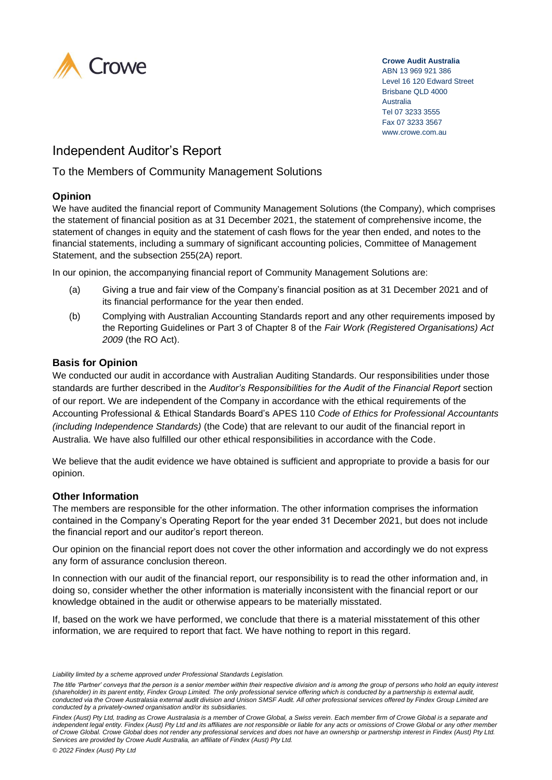

#### **Crowe Audit Australia**

ABN 13 969 921 386 Level 16 120 Edward Street Brisbane QLD 4000 Australia Tel 07 3233 3555 Fax 07 3233 3567 www.crowe.com.au

# Independent Auditor's Report

To the Members of Community Management Solutions

### **Opinion**

We have audited the financial report of Community Management Solutions (the Company), which comprises the statement of financial position as at 31 December 2021, the statement of comprehensive income, the statement of changes in equity and the statement of cash flows for the year then ended, and notes to the financial statements, including a summary of significant accounting policies, Committee of Management Statement, and the subsection 255(2A) report.

In our opinion, the accompanying financial report of Community Management Solutions are:

- (a) Giving a true and fair view of the Company's financial position as at 31 December 2021 and of its financial performance for the year then ended.
- (b) Complying with Australian Accounting Standards report and any other requirements imposed by the Reporting Guidelines or Part 3 of Chapter 8 of the *Fair Work (Registered Organisations) Act 2009* (the RO Act).

### **Basis for Opinion**

We conducted our audit in accordance with Australian Auditing Standards. Our responsibilities under those standards are further described in the *Auditor's Responsibilities for the Audit of the Financial Report* section of our report. We are independent of the Company in accordance with the ethical requirements of the Accounting Professional & Ethical Standards Board's APES 110 *Code of Ethics for Professional Accountants (including Independence Standards)* (the Code) that are relevant to our audit of the financial report in Australia. We have also fulfilled our other ethical responsibilities in accordance with the Code.

We believe that the audit evidence we have obtained is sufficient and appropriate to provide a basis for our opinion.

### **Other Information**

The members are responsible for the other information. The other information comprises the information contained in the Company's Operating Report for the year ended 31 December 2021, but does not include the financial report and our auditor's report thereon.

Our opinion on the financial report does not cover the other information and accordingly we do not express any form of assurance conclusion thereon.

In connection with our audit of the financial report, our responsibility is to read the other information and, in doing so, consider whether the other information is materially inconsistent with the financial report or our knowledge obtained in the audit or otherwise appears to be materially misstated.

If, based on the work we have performed, we conclude that there is a material misstatement of this other information, we are required to report that fact. We have nothing to report in this regard.

*Liability limited by a scheme approved under Professional Standards Legislation.* 

*The title 'Partner' conveys that the person is a senior member within their respective division and is among the group of persons who hold an equity interest (shareholder) in its parent entity, Findex Group Limited. The only professional service offering which is conducted by a partnership is external audit, conducted via the Crowe Australasia external audit division and Unison SMSF Audit. All other professional services offered by Findex Group Limited are conducted by a privately-owned organisation and/or its subsidiaries.*

*Findex (Aust) Pty Ltd, trading as Crowe Australasia is a member of Crowe Global, a Swiss verein. Each member firm of Crowe Global is a separate and independent legal entity. Findex (Aust) Pty Ltd and its affiliates are not responsible or liable for any acts or omissions of Crowe Global or any other member of Crowe Global. Crowe Global does not render any professional services and does not have an ownership or partnership interest in Findex (Aust) Pty Ltd. Services are provided by Crowe Audit Australia, an affiliate of Findex (Aust) Pty Ltd.*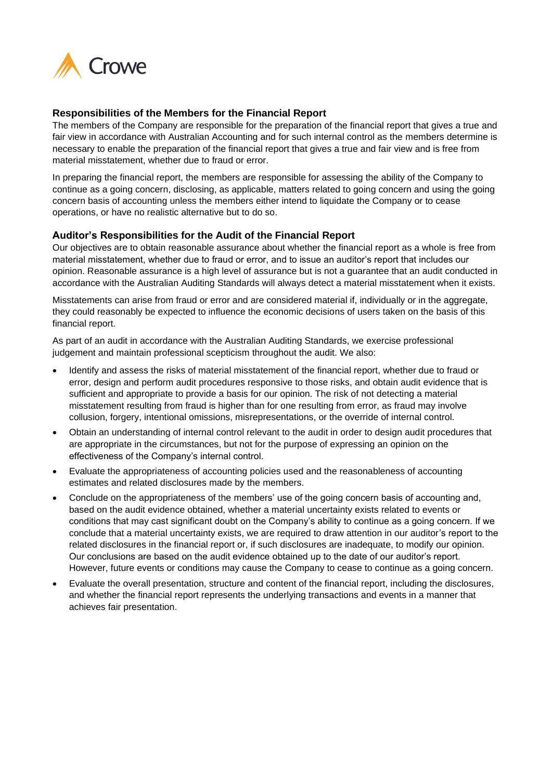

### **Responsibilities of the Members for the Financial Report**

The members of the Company are responsible for the preparation of the financial report that gives a true and fair view in accordance with Australian Accounting and for such internal control as the members determine is necessary to enable the preparation of the financial report that gives a true and fair view and is free from material misstatement, whether due to fraud or error.

In preparing the financial report, the members are responsible for assessing the ability of the Company to continue as a going concern, disclosing, as applicable, matters related to going concern and using the going concern basis of accounting unless the members either intend to liquidate the Company or to cease operations, or have no realistic alternative but to do so.

### **Auditor's Responsibilities for the Audit of the Financial Report**

Our objectives are to obtain reasonable assurance about whether the financial report as a whole is free from material misstatement, whether due to fraud or error, and to issue an auditor's report that includes our opinion. Reasonable assurance is a high level of assurance but is not a guarantee that an audit conducted in accordance with the Australian Auditing Standards will always detect a material misstatement when it exists.

Misstatements can arise from fraud or error and are considered material if, individually or in the aggregate, they could reasonably be expected to influence the economic decisions of users taken on the basis of this financial report.

As part of an audit in accordance with the Australian Auditing Standards, we exercise professional judgement and maintain professional scepticism throughout the audit. We also:

- Identify and assess the risks of material misstatement of the financial report, whether due to fraud or error, design and perform audit procedures responsive to those risks, and obtain audit evidence that is sufficient and appropriate to provide a basis for our opinion. The risk of not detecting a material misstatement resulting from fraud is higher than for one resulting from error, as fraud may involve collusion, forgery, intentional omissions, misrepresentations, or the override of internal control.
- Obtain an understanding of internal control relevant to the audit in order to design audit procedures that are appropriate in the circumstances, but not for the purpose of expressing an opinion on the effectiveness of the Company's internal control.
- Evaluate the appropriateness of accounting policies used and the reasonableness of accounting estimates and related disclosures made by the members.
- Conclude on the appropriateness of the members' use of the going concern basis of accounting and, based on the audit evidence obtained, whether a material uncertainty exists related to events or conditions that may cast significant doubt on the Company's ability to continue as a going concern. If we conclude that a material uncertainty exists, we are required to draw attention in our auditor's report to the related disclosures in the financial report or, if such disclosures are inadequate, to modify our opinion. Our conclusions are based on the audit evidence obtained up to the date of our auditor's report. However, future events or conditions may cause the Company to cease to continue as a going concern.
- Evaluate the overall presentation, structure and content of the financial report, including the disclosures, and whether the financial report represents the underlying transactions and events in a manner that achieves fair presentation.